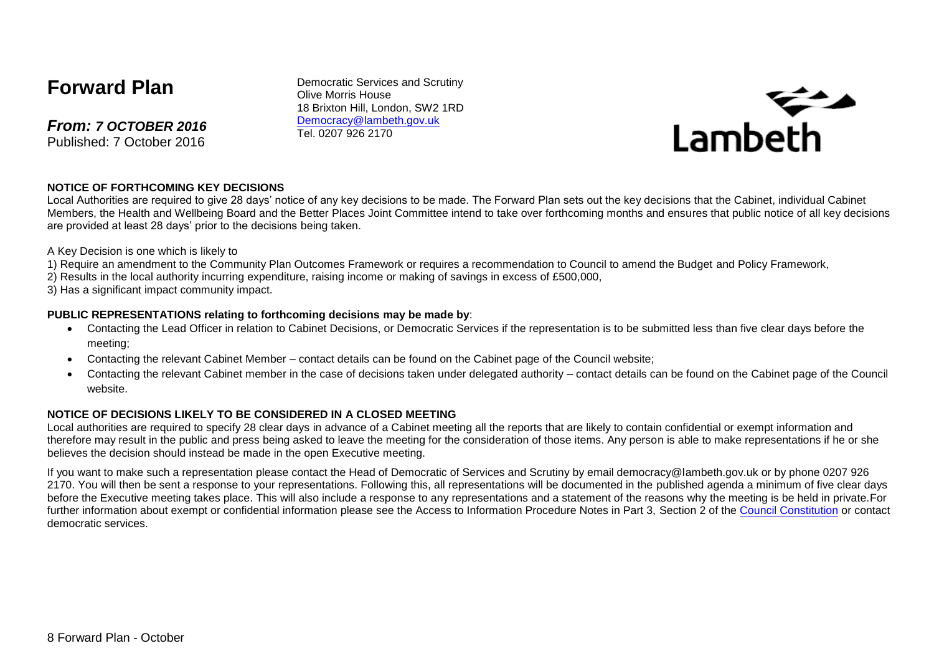# **Forward Plan**

*From: 7 OCTOBER 2016* Published: 7 October 2016

Democratic Services and Scrutiny Olive Morris House 18 Brixton Hill, London, SW2 1RD [Democracy@lambeth.gov.uk](mailto:Democracy@lambeth.gov.uk) Tel. 0207 926 2170



#### **NOTICE OF FORTHCOMING KEY DECISIONS**

Local Authorities are required to give 28 days' notice of any key decisions to be made. The Forward Plan sets out the key decisions that the Cabinet, individual Cabinet Members, the Health and Wellbeing Board and the Better Places Joint Committee intend to take over forthcoming months and ensures that public notice of all key decisions are provided at least 28 days' prior to the decisions being taken.

A Key Decision is one which is likely to

- 1) Require an amendment to the Community Plan Outcomes Framework or requires a recommendation to Council to amend the Budget and Policy Framework,
- 2) Results in the local authority incurring expenditure, raising income or making of savings in excess of £500,000,
- 3) Has a significant impact community impact.

#### **PUBLIC REPRESENTATIONS relating to forthcoming decisions may be made by**:

- Contacting the Lead Officer in relation to Cabinet Decisions, or Democratic Services if the representation is to be submitted less than five clear days before the meeting;
- Contacting the relevant Cabinet Member contact details can be found on the Cabinet page of the Council website;
- Contacting the relevant Cabinet member in the case of decisions taken under delegated authority contact details can be found on the Cabinet page of the Council website.

#### **NOTICE OF DECISIONS LIKELY TO BE CONSIDERED IN A CLOSED MEETING**

Local authorities are required to specify 28 clear days in advance of a Cabinet meeting all the reports that are likely to contain confidential or exempt information and therefore may result in the public and press being asked to leave the meeting for the consideration of those items. Any person is able to make representations if he or she believes the decision should instead be made in the open Executive meeting.

If you want to make such a representation please contact the Head of Democratic of Services and Scrutiny by email democracy@lambeth.gov.uk or by phone 0207 926 2170. You will then be sent a response to your representations. Following this, all representations will be documented in the published agenda a minimum of five clear days before the Executive meeting takes place. This will also include a response to any representations and a statement of the reasons why the meeting is be held in private.For further information about exempt or confidential information please see the Access to Information Procedure Notes in Part 3. Section 2 of the [Council Constitution](http://www.lambeth.gov.uk/sites/default/files/ec-Council-Constitution-2014-15-approved-with-changes-November-2014.pdf) or contact democratic services.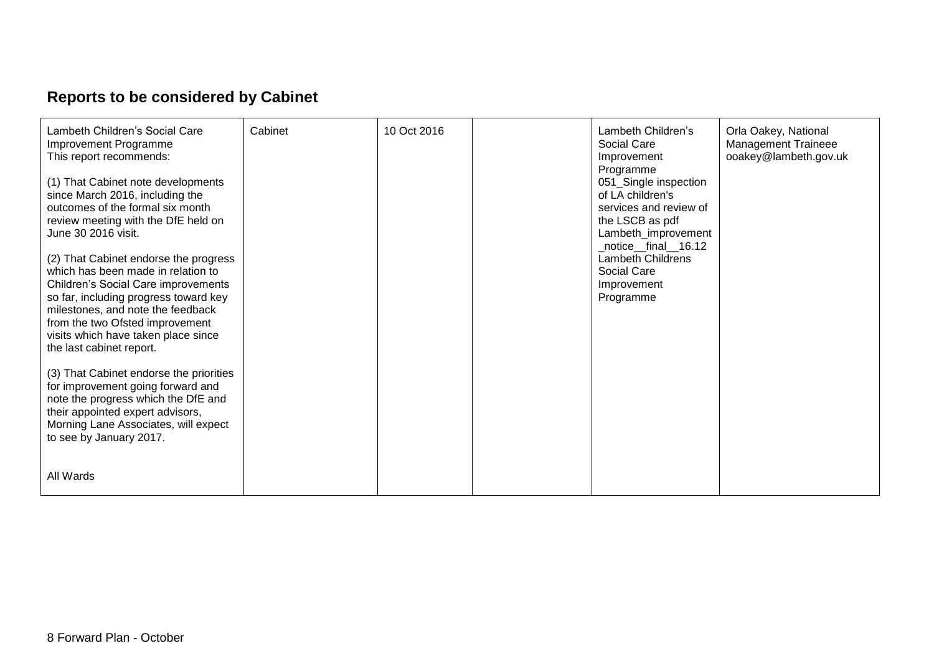# **Reports to be considered by Cabinet**

| Lambeth Children's Social Care<br>Improvement Programme<br>This report recommends:<br>(1) That Cabinet note developments<br>since March 2016, including the<br>outcomes of the formal six month<br>review meeting with the DfE held on<br>June 30 2016 visit.<br>(2) That Cabinet endorse the progress<br>which has been made in relation to<br>Children's Social Care improvements<br>so far, including progress toward key<br>milestones, and note the feedback<br>from the two Ofsted improvement<br>visits which have taken place since<br>the last cabinet report.<br>(3) That Cabinet endorse the priorities<br>for improvement going forward and<br>note the progress which the DfE and | Cabinet | 10 Oct 2016 | Lambeth Children's<br>Social Care<br>Improvement<br>Programme<br>051_Single inspection<br>of LA children's<br>services and review of<br>the LSCB as pdf<br>Lambeth_improvement<br>_notice__final__16.12<br><b>Lambeth Childrens</b><br>Social Care<br>Improvement<br>Programme | Orla Oakey, National<br><b>Management Traineee</b><br>ooakey@lambeth.gov.uk |
|------------------------------------------------------------------------------------------------------------------------------------------------------------------------------------------------------------------------------------------------------------------------------------------------------------------------------------------------------------------------------------------------------------------------------------------------------------------------------------------------------------------------------------------------------------------------------------------------------------------------------------------------------------------------------------------------|---------|-------------|--------------------------------------------------------------------------------------------------------------------------------------------------------------------------------------------------------------------------------------------------------------------------------|-----------------------------------------------------------------------------|
| their appointed expert advisors,<br>Morning Lane Associates, will expect<br>to see by January 2017.                                                                                                                                                                                                                                                                                                                                                                                                                                                                                                                                                                                            |         |             |                                                                                                                                                                                                                                                                                |                                                                             |
| All Wards                                                                                                                                                                                                                                                                                                                                                                                                                                                                                                                                                                                                                                                                                      |         |             |                                                                                                                                                                                                                                                                                |                                                                             |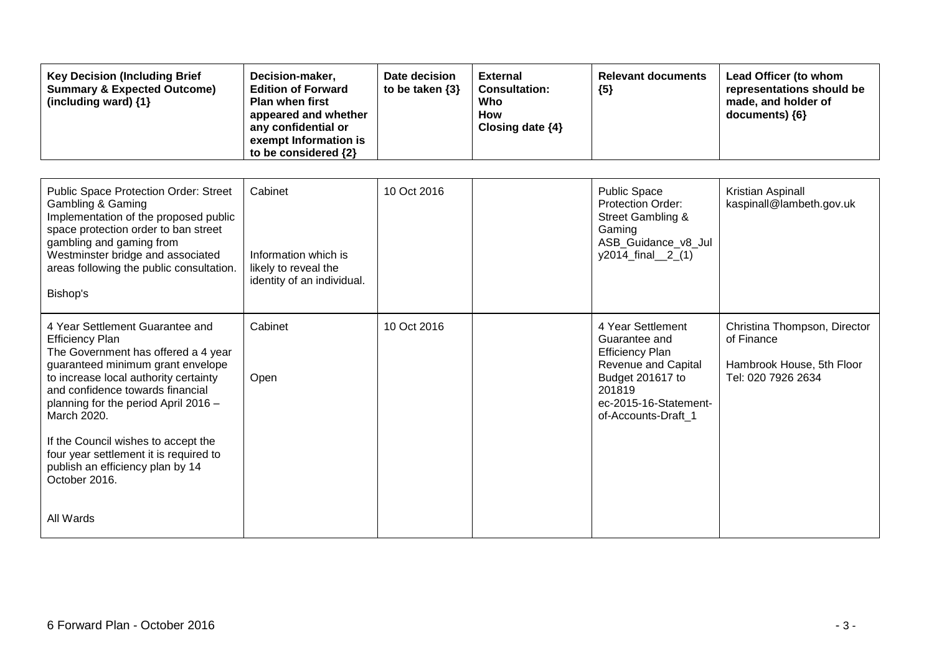| <b>Key Decision (Including Brief</b><br><b>Summary &amp; Expected Outcome)</b><br>(including ward) {1}                                                                                                                                                                                                                                                                                                          | Decision-maker,<br><b>Edition of Forward</b><br><b>Plan when first</b><br>appeared and whether<br>any confidential or<br>exempt Information is<br>to be considered {2} | Date decision<br>to be taken $\{3\}$ | <b>External</b><br><b>Consultation:</b><br>Who<br><b>How</b><br>Closing date {4} | <b>Relevant documents</b><br>${5}$                                                                                                                                | Lead Officer (to whom<br>representations should be<br>made, and holder of<br>documents) {6}   |
|-----------------------------------------------------------------------------------------------------------------------------------------------------------------------------------------------------------------------------------------------------------------------------------------------------------------------------------------------------------------------------------------------------------------|------------------------------------------------------------------------------------------------------------------------------------------------------------------------|--------------------------------------|----------------------------------------------------------------------------------|-------------------------------------------------------------------------------------------------------------------------------------------------------------------|-----------------------------------------------------------------------------------------------|
| Public Space Protection Order: Street<br><b>Gambling &amp; Gaming</b><br>Implementation of the proposed public<br>space protection order to ban street<br>gambling and gaming from<br>Westminster bridge and associated<br>areas following the public consultation.<br>Bishop's                                                                                                                                 | Cabinet<br>Information which is<br>likely to reveal the<br>identity of an individual.                                                                                  | 10 Oct 2016                          |                                                                                  | <b>Public Space</b><br><b>Protection Order:</b><br><b>Street Gambling &amp;</b><br>Gaming<br>ASB_Guidance_v8_Jul<br>y2014_final_2_(1)                             | Kristian Aspinall<br>kaspinall@lambeth.gov.uk                                                 |
| 4 Year Settlement Guarantee and<br><b>Efficiency Plan</b><br>The Government has offered a 4 year<br>guaranteed minimum grant envelope<br>to increase local authority certainty<br>and confidence towards financial<br>planning for the period April 2016 -<br>March 2020.<br>If the Council wishes to accept the<br>four year settlement it is required to<br>publish an efficiency plan by 14<br>October 2016. | Cabinet<br>Open                                                                                                                                                        | 10 Oct 2016                          |                                                                                  | 4 Year Settlement<br>Guarantee and<br><b>Efficiency Plan</b><br>Revenue and Capital<br>Budget 201617 to<br>201819<br>ec-2015-16-Statement-<br>of-Accounts-Draft 1 | Christina Thompson, Director<br>of Finance<br>Hambrook House, 5th Floor<br>Tel: 020 7926 2634 |
| All Wards                                                                                                                                                                                                                                                                                                                                                                                                       |                                                                                                                                                                        |                                      |                                                                                  |                                                                                                                                                                   |                                                                                               |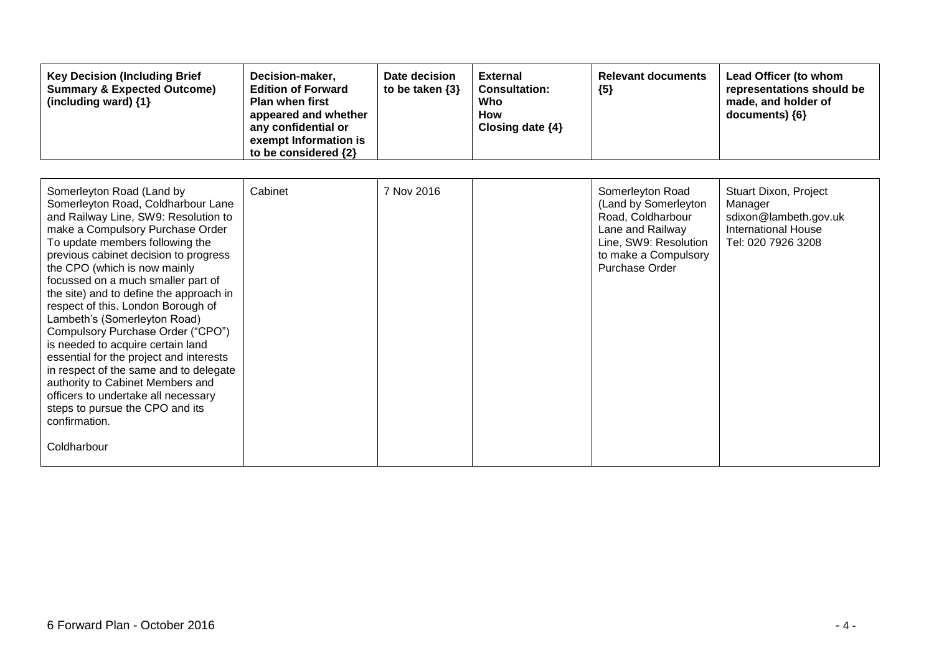| <b>Key Decision (Including Brief</b><br><b>Summary &amp; Expected Outcome)</b><br>(including ward) {1}                                                                                                                                                                                                                                                                                                                                                                                                                                                                                                                                                                                                                      | Decision-maker,<br><b>Edition of Forward</b><br><b>Plan when first</b><br>appeared and whether<br>any confidential or<br>exempt Information is<br>to be considered {2} | Date decision<br>to be taken $\{3\}$ | <b>External</b><br><b>Consultation:</b><br>Who<br><b>How</b><br>Closing date $\{4\}$ | <b>Relevant documents</b><br>${5}$                                                                                                                          | Lead Officer (to whom<br>representations should be<br>made, and holder of<br>documents) {6}                   |
|-----------------------------------------------------------------------------------------------------------------------------------------------------------------------------------------------------------------------------------------------------------------------------------------------------------------------------------------------------------------------------------------------------------------------------------------------------------------------------------------------------------------------------------------------------------------------------------------------------------------------------------------------------------------------------------------------------------------------------|------------------------------------------------------------------------------------------------------------------------------------------------------------------------|--------------------------------------|--------------------------------------------------------------------------------------|-------------------------------------------------------------------------------------------------------------------------------------------------------------|---------------------------------------------------------------------------------------------------------------|
| Somerleyton Road (Land by<br>Somerleyton Road, Coldharbour Lane<br>and Railway Line, SW9: Resolution to<br>make a Compulsory Purchase Order<br>To update members following the<br>previous cabinet decision to progress<br>the CPO (which is now mainly<br>focussed on a much smaller part of<br>the site) and to define the approach in<br>respect of this. London Borough of<br>Lambeth's (Somerleyton Road)<br>Compulsory Purchase Order ("CPO")<br>is needed to acquire certain land<br>essential for the project and interests<br>in respect of the same and to delegate<br>authority to Cabinet Members and<br>officers to undertake all necessary<br>steps to pursue the CPO and its<br>confirmation.<br>Coldharbour | Cabinet                                                                                                                                                                | 7 Nov 2016                           |                                                                                      | Somerleyton Road<br>(Land by Somerleyton<br>Road, Coldharbour<br>Lane and Railway<br>Line, SW9: Resolution<br>to make a Compulsory<br><b>Purchase Order</b> | Stuart Dixon, Project<br>Manager<br>sdixon@lambeth.gov.uk<br><b>International House</b><br>Tel: 020 7926 3208 |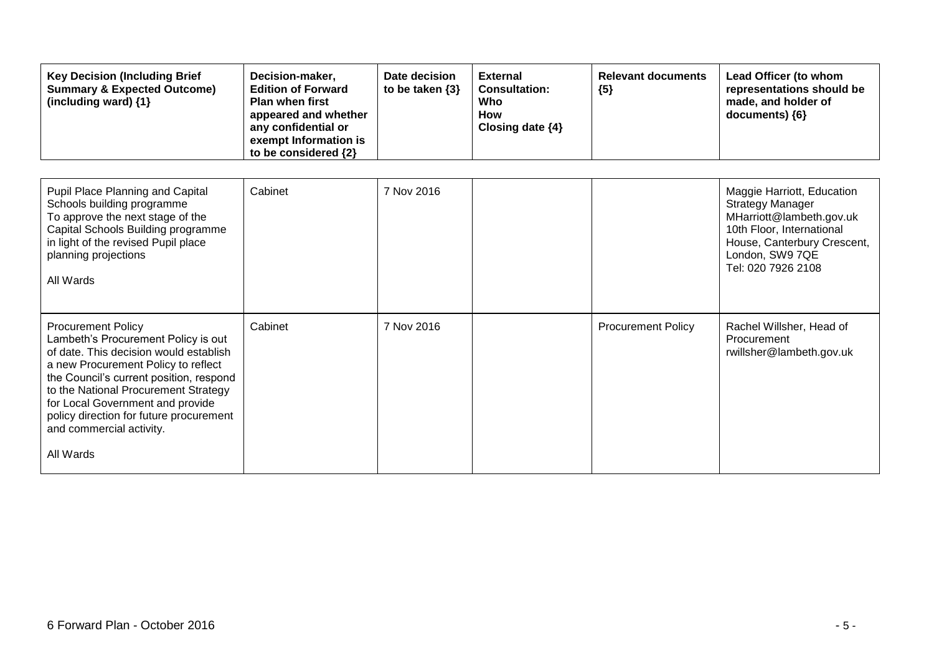| <b>Key Decision (Including Brief</b><br><b>Summary &amp; Expected Outcome)</b><br>(including ward) {1}                                                                                                                                                                                                                                                       | Decision-maker,<br><b>Edition of Forward</b><br><b>Plan when first</b><br>appeared and whether<br>any confidential or<br>exempt Information is<br>to be considered {2} | Date decision<br>to be taken $\{3\}$ | <b>External</b><br><b>Consultation:</b><br>Who<br>How<br>Closing date {4} | <b>Relevant documents</b><br>${5}$ | Lead Officer (to whom<br>representations should be<br>made, and holder of<br>documents) {6}                                                                                            |
|--------------------------------------------------------------------------------------------------------------------------------------------------------------------------------------------------------------------------------------------------------------------------------------------------------------------------------------------------------------|------------------------------------------------------------------------------------------------------------------------------------------------------------------------|--------------------------------------|---------------------------------------------------------------------------|------------------------------------|----------------------------------------------------------------------------------------------------------------------------------------------------------------------------------------|
| Pupil Place Planning and Capital<br>Schools building programme<br>To approve the next stage of the<br>Capital Schools Building programme<br>in light of the revised Pupil place<br>planning projections<br>All Wards                                                                                                                                         | Cabinet                                                                                                                                                                | 7 Nov 2016                           |                                                                           |                                    | Maggie Harriott, Education<br><b>Strategy Manager</b><br>MHarriott@lambeth.gov.uk<br>10th Floor, International<br>House, Canterbury Crescent,<br>London, SW9 7QE<br>Tel: 020 7926 2108 |
| <b>Procurement Policy</b><br>Lambeth's Procurement Policy is out<br>of date. This decision would establish<br>a new Procurement Policy to reflect<br>the Council's current position, respond<br>to the National Procurement Strategy<br>for Local Government and provide<br>policy direction for future procurement<br>and commercial activity.<br>All Wards | Cabinet                                                                                                                                                                | 7 Nov 2016                           |                                                                           | <b>Procurement Policy</b>          | Rachel Willsher, Head of<br>Procurement<br>rwillsher@lambeth.gov.uk                                                                                                                    |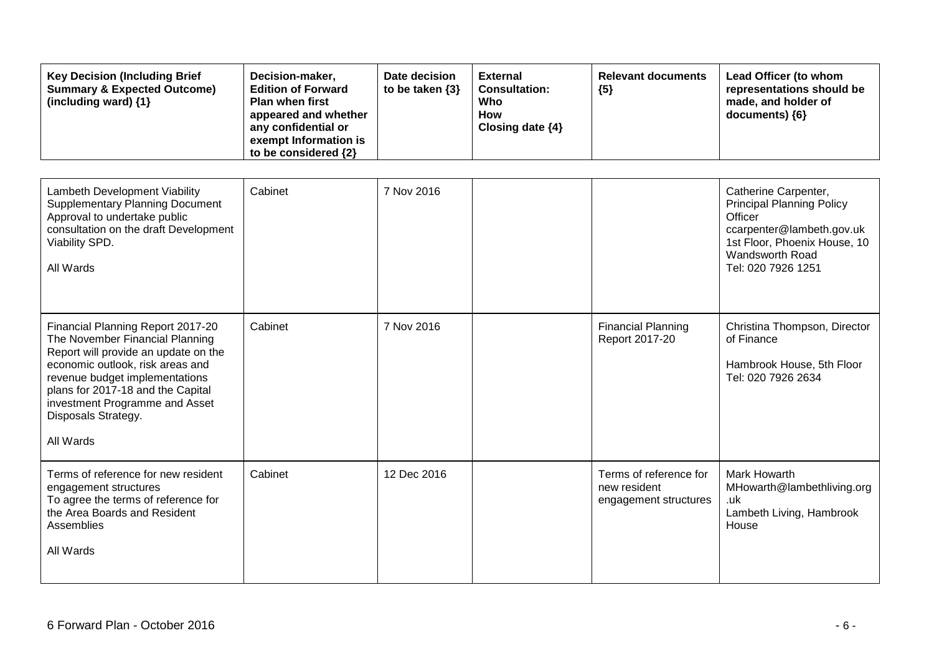| <b>Key Decision (Including Brief</b><br><b>Summary &amp; Expected Outcome)</b><br>(including ward) {1}                                                                                                                                                                                        | Decision-maker,<br><b>Edition of Forward</b><br><b>Plan when first</b><br>appeared and whether<br>any confidential or<br>exempt Information is<br>to be considered {2} | Date decision<br>to be taken $\{3\}$ | <b>External</b><br><b>Consultation:</b><br>Who<br>How<br>Closing date {4} | <b>Relevant documents</b><br>${5}$                              | Lead Officer (to whom<br>representations should be<br>made, and holder of<br>documents) {6}                                                                               |
|-----------------------------------------------------------------------------------------------------------------------------------------------------------------------------------------------------------------------------------------------------------------------------------------------|------------------------------------------------------------------------------------------------------------------------------------------------------------------------|--------------------------------------|---------------------------------------------------------------------------|-----------------------------------------------------------------|---------------------------------------------------------------------------------------------------------------------------------------------------------------------------|
| Lambeth Development Viability<br><b>Supplementary Planning Document</b><br>Approval to undertake public<br>consultation on the draft Development<br>Viability SPD.<br>All Wards                                                                                                               | Cabinet                                                                                                                                                                | 7 Nov 2016                           |                                                                           |                                                                 | Catherine Carpenter,<br><b>Principal Planning Policy</b><br>Officer<br>ccarpenter@lambeth.gov.uk<br>1st Floor, Phoenix House, 10<br>Wandsworth Road<br>Tel: 020 7926 1251 |
| Financial Planning Report 2017-20<br>The November Financial Planning<br>Report will provide an update on the<br>economic outlook, risk areas and<br>revenue budget implementations<br>plans for 2017-18 and the Capital<br>investment Programme and Asset<br>Disposals Strategy.<br>All Wards | Cabinet                                                                                                                                                                | 7 Nov 2016                           |                                                                           | <b>Financial Planning</b><br>Report 2017-20                     | Christina Thompson, Director<br>of Finance<br>Hambrook House, 5th Floor<br>Tel: 020 7926 2634                                                                             |
| Terms of reference for new resident<br>engagement structures<br>To agree the terms of reference for<br>the Area Boards and Resident<br>Assemblies<br>All Wards                                                                                                                                | Cabinet                                                                                                                                                                | 12 Dec 2016                          |                                                                           | Terms of reference for<br>new resident<br>engagement structures | Mark Howarth<br>MHowarth@lambethliving.org<br>.uk<br>Lambeth Living, Hambrook<br>House                                                                                    |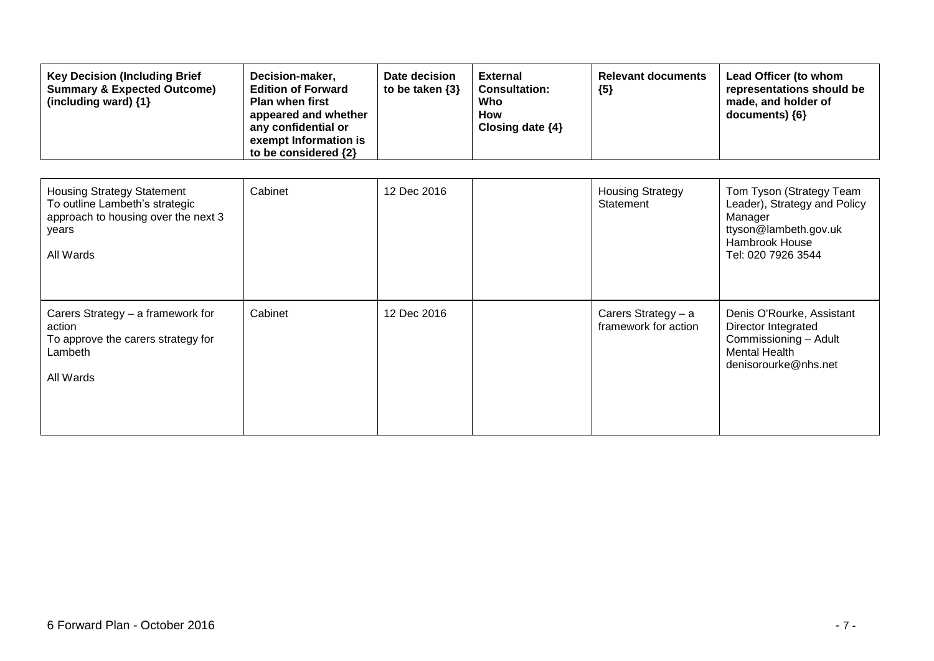| <b>Key Decision (Including Brief</b><br><b>Summary &amp; Expected Outcome)</b><br>(including ward) $\{1\}$ | Decision-maker,<br><b>Edition of Forward</b><br><b>Plan when first</b><br>appeared and whether<br>any confidential or<br>exempt Information is<br>to be considered {2} | Date decision<br>to be taken $\{3\}$ | <b>External</b><br><b>Consultation:</b><br>Who<br>How<br>Closing date $\{4\}$ | <b>Relevant documents</b><br>${5}$   | Lead Officer (to whom<br>representations should be<br>made, and holder of<br>$documents)$ {6} |
|------------------------------------------------------------------------------------------------------------|------------------------------------------------------------------------------------------------------------------------------------------------------------------------|--------------------------------------|-------------------------------------------------------------------------------|--------------------------------------|-----------------------------------------------------------------------------------------------|
|                                                                                                            |                                                                                                                                                                        |                                      |                                                                               |                                      |                                                                                               |
| <b>Housing Strategy Statement</b><br>To outline Lambeth's strategic                                        | Cabinet                                                                                                                                                                | 12 Dec 2016                          |                                                                               | <b>Housing Strategy</b><br>Statement | Tom Tyson (Strategy Team<br>Leader), Strategy and Policy                                      |

| To outline Lambeth's strategic<br>approach to housing over the next 3<br>years<br>All Wards               |         |             | Statement                                   | Leader), Strategy and Policy<br>Manager<br>ttyson@lambeth.gov.uk<br>Hambrook House<br>Tel: 020 7926 3544                  |
|-----------------------------------------------------------------------------------------------------------|---------|-------------|---------------------------------------------|---------------------------------------------------------------------------------------------------------------------------|
| Carers Strategy - a framework for<br>action<br>To approve the carers strategy for<br>Lambeth<br>All Wards | Cabinet | 12 Dec 2016 | Carers Strategy - a<br>framework for action | Denis O'Rourke, Assistant<br>Director Integrated<br>Commissioning - Adult<br><b>Mental Health</b><br>denisorourke@nhs.net |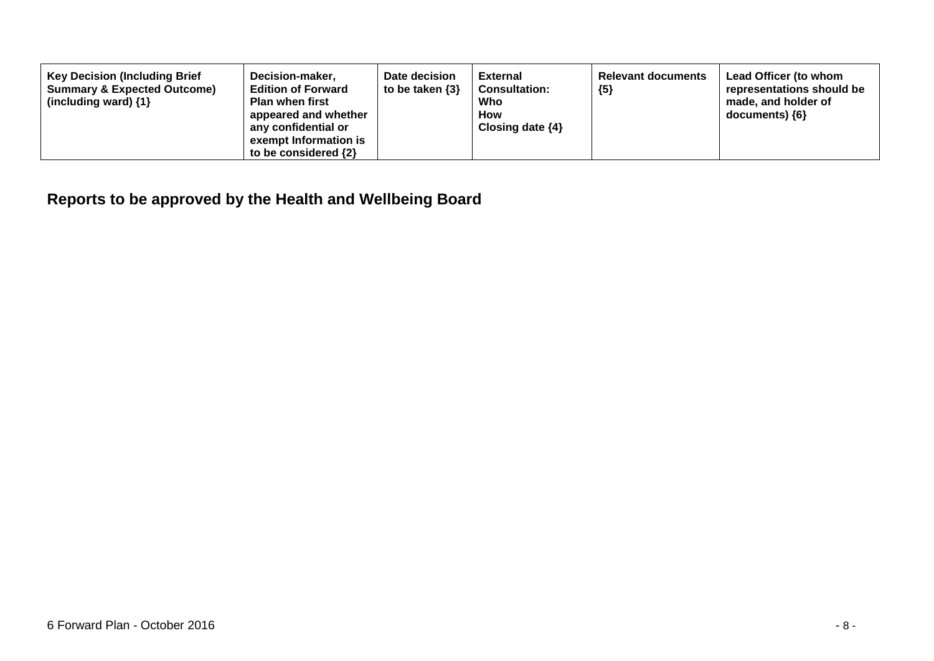| <b>Key Decision (Including Brief</b><br><b>Summary &amp; Expected Outcome)</b><br>(including ward) $\{1\}$ | Decision-maker,<br><b>Edition of Forward</b><br><b>Plan when first</b><br>appeared and whether<br>any confidential or<br>exempt Information is<br>to be considered $\{2\}$ | Date decision<br>to be taken $\{3\}$ | <b>External</b><br><b>Consultation:</b><br>Who<br>How<br>Closing date $\{4\}$ | <b>Relevant documents</b><br>${5}$ | Lead Officer (to whom<br>representations should be<br>made, and holder of<br>documents) ${6}$ |
|------------------------------------------------------------------------------------------------------------|----------------------------------------------------------------------------------------------------------------------------------------------------------------------------|--------------------------------------|-------------------------------------------------------------------------------|------------------------------------|-----------------------------------------------------------------------------------------------|
|------------------------------------------------------------------------------------------------------------|----------------------------------------------------------------------------------------------------------------------------------------------------------------------------|--------------------------------------|-------------------------------------------------------------------------------|------------------------------------|-----------------------------------------------------------------------------------------------|

**Reports to be approved by the Health and Wellbeing Board**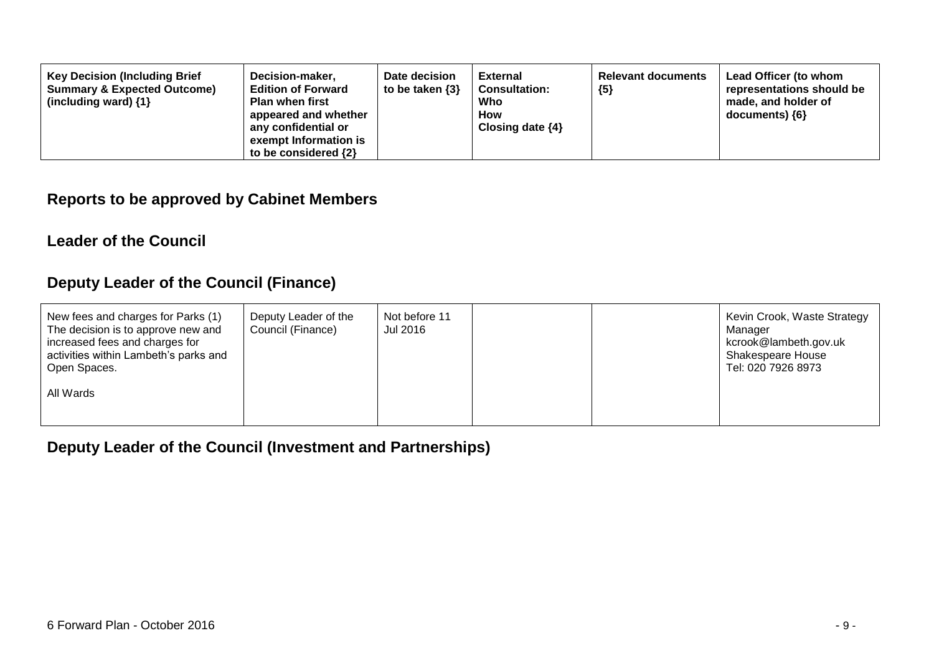| Decision-maker,<br><b>Key Decision (Including Brief</b><br><b>Summary &amp; Expected Outcome)</b><br><b>Edition of Forward</b><br><b>Plan when first</b><br>(including ward) $\{1\}$<br>appeared and whether<br>any confidential or<br>exempt Information is<br>to be considered $\{2\}$ | Date decision<br>to be taken $\{3\}$ | <b>External</b><br><b>Consultation:</b><br>Who<br><b>How</b><br>Closing date $\{4\}$ | <b>Relevant documents</b><br>${5}$ | Lead Officer (to whom<br>representations should be<br>made, and holder of<br>documents) {6} |
|------------------------------------------------------------------------------------------------------------------------------------------------------------------------------------------------------------------------------------------------------------------------------------------|--------------------------------------|--------------------------------------------------------------------------------------|------------------------------------|---------------------------------------------------------------------------------------------|
|------------------------------------------------------------------------------------------------------------------------------------------------------------------------------------------------------------------------------------------------------------------------------------------|--------------------------------------|--------------------------------------------------------------------------------------|------------------------------------|---------------------------------------------------------------------------------------------|

### **Reports to be approved by Cabinet Members**

#### **Leader of the Council**

## **Deputy Leader of the Council (Finance)**

| New fees and charges for Parks (1)<br>The decision is to approve new and<br>increased fees and charges for<br>activities within Lambeth's parks and<br>Open Spaces. | Deputy Leader of the<br>Council (Finance) | Not before 11<br>Jul 2016 |  | Kevin Crook, Waste Strategy<br>Manager<br>kcrook@lambeth.gov.uk<br><b>Shakespeare House</b><br>Tel: 020 7926 8973 |
|---------------------------------------------------------------------------------------------------------------------------------------------------------------------|-------------------------------------------|---------------------------|--|-------------------------------------------------------------------------------------------------------------------|
| All Wards                                                                                                                                                           |                                           |                           |  |                                                                                                                   |

**Deputy Leader of the Council (Investment and Partnerships)**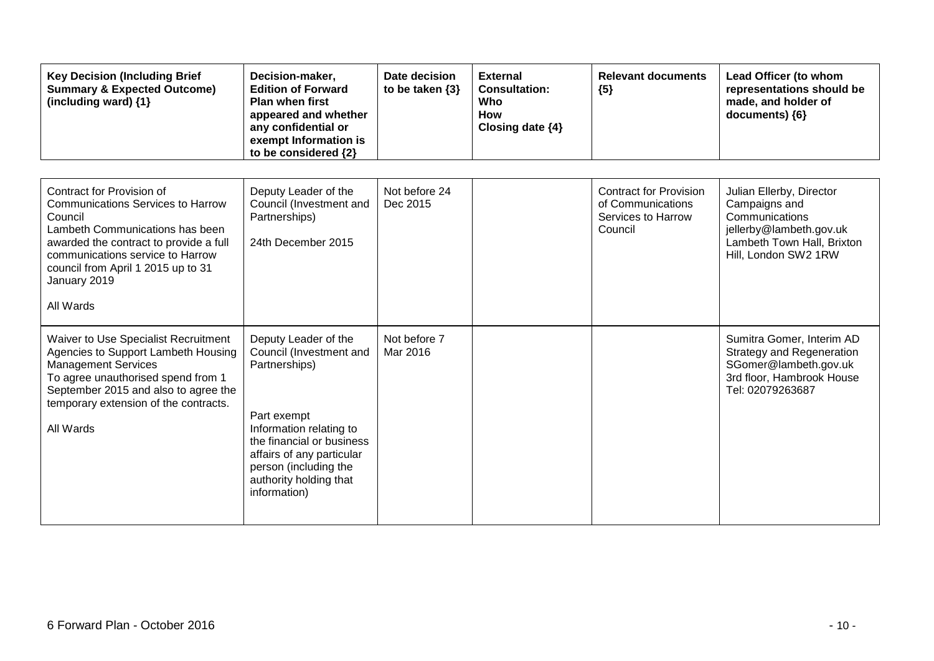| <b>Key Decision (Including Brief</b><br><b>Summary &amp; Expected Outcome)</b><br>(including ward) {1}                                                                                                                                                               | Decision-maker,<br><b>Edition of Forward</b><br><b>Plan when first</b><br>appeared and whether<br>any confidential or<br>exempt Information is<br>to be considered {2}                                                                  | Date decision<br>to be taken $\{3\}$ | <b>External</b><br><b>Consultation:</b><br>Who<br><b>How</b><br>Closing date {4} | <b>Relevant documents</b><br>${5}$                                                  | Lead Officer (to whom<br>representations should be<br>made, and holder of<br>documents) {6}                                                  |
|----------------------------------------------------------------------------------------------------------------------------------------------------------------------------------------------------------------------------------------------------------------------|-----------------------------------------------------------------------------------------------------------------------------------------------------------------------------------------------------------------------------------------|--------------------------------------|----------------------------------------------------------------------------------|-------------------------------------------------------------------------------------|----------------------------------------------------------------------------------------------------------------------------------------------|
|                                                                                                                                                                                                                                                                      |                                                                                                                                                                                                                                         |                                      |                                                                                  |                                                                                     |                                                                                                                                              |
| Contract for Provision of<br><b>Communications Services to Harrow</b><br>Council<br>Lambeth Communications has been<br>awarded the contract to provide a full<br>communications service to Harrow<br>council from April 1 2015 up to 31<br>January 2019<br>All Wards | Deputy Leader of the<br>Council (Investment and<br>Partnerships)<br>24th December 2015                                                                                                                                                  | Not before 24<br>Dec 2015            |                                                                                  | <b>Contract for Provision</b><br>of Communications<br>Services to Harrow<br>Council | Julian Ellerby, Director<br>Campaigns and<br>Communications<br>jellerby@lambeth.gov.uk<br>Lambeth Town Hall, Brixton<br>Hill, London SW2 1RW |
| Waiver to Use Specialist Recruitment<br>Agencies to Support Lambeth Housing<br><b>Management Services</b><br>To agree unauthorised spend from 1<br>September 2015 and also to agree the<br>temporary extension of the contracts.<br>All Wards                        | Deputy Leader of the<br>Council (Investment and<br>Partnerships)<br>Part exempt<br>Information relating to<br>the financial or business<br>affairs of any particular<br>person (including the<br>authority holding that<br>information) | Not before 7<br>Mar 2016             |                                                                                  |                                                                                     | Sumitra Gomer, Interim AD<br>Strategy and Regeneration<br>SGomer@lambeth.gov.uk<br>3rd floor, Hambrook House<br>Tel: 02079263687             |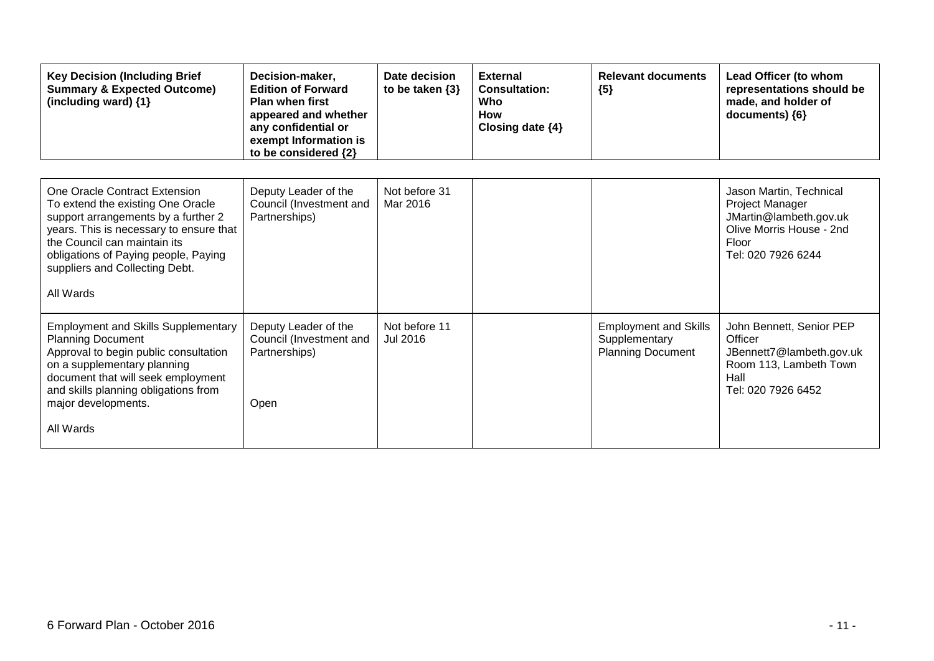| <b>Key Decision (Including Brief</b><br><b>Summary &amp; Expected Outcome)</b><br>(including ward) {1}                                                                                                                                                                      | Decision-maker,<br><b>Edition of Forward</b><br><b>Plan when first</b><br>appeared and whether<br>any confidential or<br>exempt Information is<br>to be considered {2} | Date decision<br>to be taken $\{3\}$ | <b>External</b><br><b>Consultation:</b><br>Who<br><b>How</b><br>Closing date $\{4\}$ | <b>Relevant documents</b><br>${5}$                                        | Lead Officer (to whom<br>representations should be<br>made, and holder of<br>documents) {6}                                            |
|-----------------------------------------------------------------------------------------------------------------------------------------------------------------------------------------------------------------------------------------------------------------------------|------------------------------------------------------------------------------------------------------------------------------------------------------------------------|--------------------------------------|--------------------------------------------------------------------------------------|---------------------------------------------------------------------------|----------------------------------------------------------------------------------------------------------------------------------------|
| One Oracle Contract Extension<br>To extend the existing One Oracle<br>support arrangements by a further 2<br>years. This is necessary to ensure that<br>the Council can maintain its<br>obligations of Paying people, Paying<br>suppliers and Collecting Debt.<br>All Wards | Deputy Leader of the<br>Council (Investment and<br>Partnerships)                                                                                                       | Not before 31<br>Mar 2016            |                                                                                      |                                                                           | Jason Martin, Technical<br>Project Manager<br>JMartin@lambeth.gov.uk<br>Olive Morris House - 2nd<br><b>Floor</b><br>Tel: 020 7926 6244 |
| <b>Employment and Skills Supplementary</b><br><b>Planning Document</b><br>Approval to begin public consultation<br>on a supplementary planning<br>document that will seek employment<br>and skills planning obligations from<br>major developments.<br>All Wards            | Deputy Leader of the<br>Council (Investment and<br>Partnerships)<br>Open                                                                                               | Not before 11<br>Jul 2016            |                                                                                      | <b>Employment and Skills</b><br>Supplementary<br><b>Planning Document</b> | John Bennett, Senior PEP<br>Officer<br>JBennett7@lambeth.gov.uk<br>Room 113, Lambeth Town<br>Hall<br>Tel: 020 7926 6452                |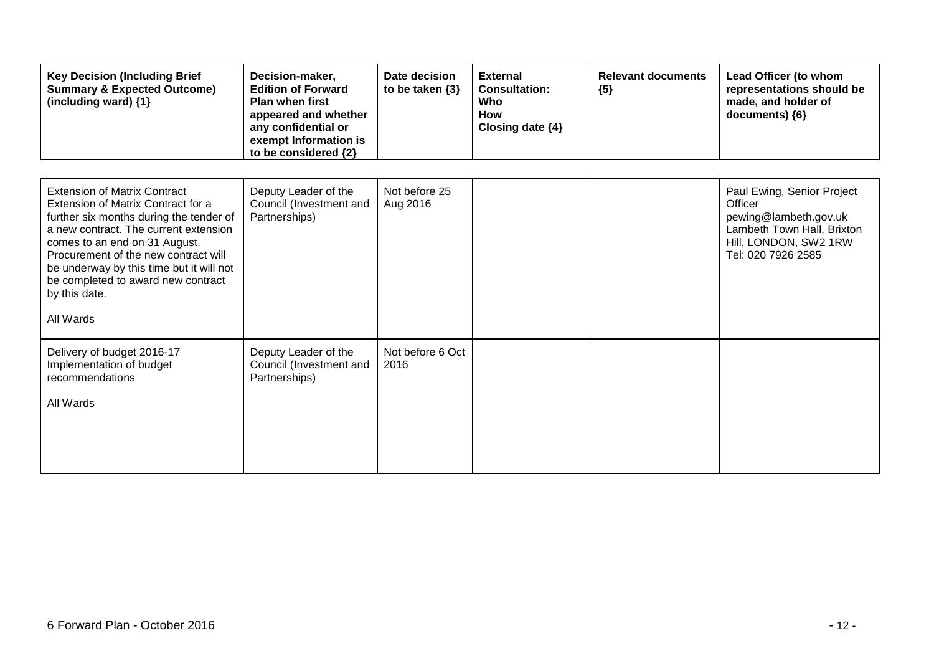| <b>Key Decision (Including Brief</b><br><b>Summary &amp; Expected Outcome)</b><br>(including ward) {1}                                                                                                                                                                                                                                                 | Decision-maker,<br><b>Edition of Forward</b><br><b>Plan when first</b><br>appeared and whether<br>any confidential or<br>exempt Information is<br>to be considered {2} | Date decision<br>to be taken $\{3\}$ | <b>External</b><br><b>Consultation:</b><br>Who<br><b>How</b><br>Closing date {4} | <b>Relevant documents</b><br>${5}$ | Lead Officer (to whom<br>representations should be<br>made, and holder of<br>documents) {6}                                                 |
|--------------------------------------------------------------------------------------------------------------------------------------------------------------------------------------------------------------------------------------------------------------------------------------------------------------------------------------------------------|------------------------------------------------------------------------------------------------------------------------------------------------------------------------|--------------------------------------|----------------------------------------------------------------------------------|------------------------------------|---------------------------------------------------------------------------------------------------------------------------------------------|
| <b>Extension of Matrix Contract</b><br>Extension of Matrix Contract for a<br>further six months during the tender of<br>a new contract. The current extension<br>comes to an end on 31 August.<br>Procurement of the new contract will<br>be underway by this time but it will not<br>be completed to award new contract<br>by this date.<br>All Wards | Deputy Leader of the<br>Council (Investment and<br>Partnerships)                                                                                                       | Not before 25<br>Aug 2016            |                                                                                  |                                    | Paul Ewing, Senior Project<br>Officer<br>pewing@lambeth.gov.uk<br>Lambeth Town Hall, Brixton<br>Hill, LONDON, SW2 1RW<br>Tel: 020 7926 2585 |
| Delivery of budget 2016-17<br>Implementation of budget<br>recommendations<br>All Wards                                                                                                                                                                                                                                                                 | Deputy Leader of the<br>Council (Investment and<br>Partnerships)                                                                                                       | Not before 6 Oct<br>2016             |                                                                                  |                                    |                                                                                                                                             |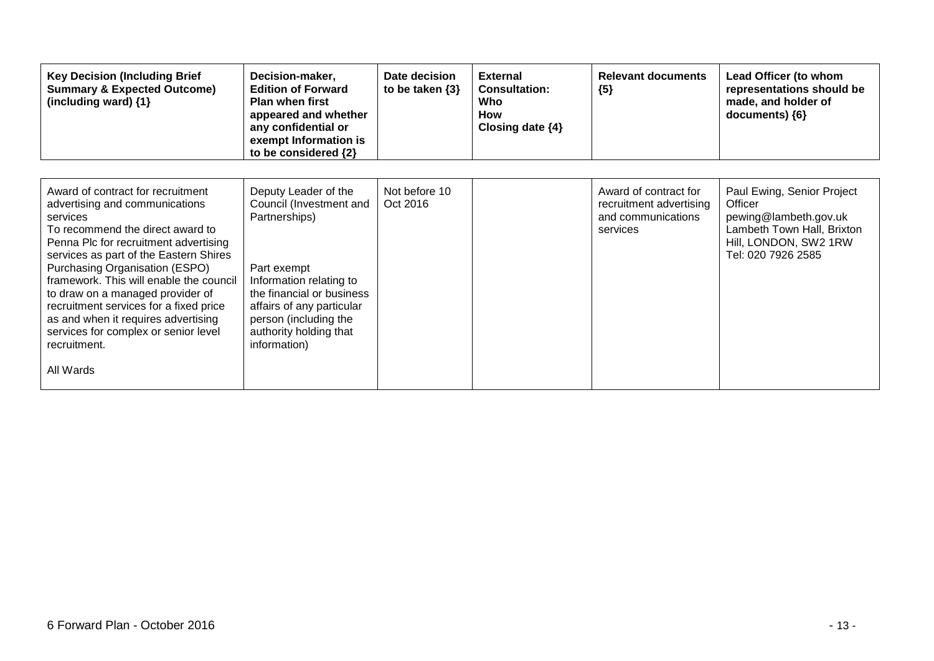| <b>Key Decision (Including Brief</b><br><b>Summary &amp; Expected Outcome)</b><br>(including ward) {1}                                                                                                                                                                                                                                                                                                                                                                        | Decision-maker,<br><b>Edition of Forward</b><br><b>Plan when first</b><br>appeared and whether<br>any confidential or<br>exempt Information is<br>to be considered {2}                                                                  | Date decision<br>to be taken $\{3\}$ | <b>External</b><br><b>Consultation:</b><br>Who<br><b>How</b><br>Closing date $\{4\}$ | <b>Relevant documents</b><br>${5}$                                                 | Lead Officer (to whom<br>representations should be<br>made, and holder of<br>documents) ${6}$                                               |
|-------------------------------------------------------------------------------------------------------------------------------------------------------------------------------------------------------------------------------------------------------------------------------------------------------------------------------------------------------------------------------------------------------------------------------------------------------------------------------|-----------------------------------------------------------------------------------------------------------------------------------------------------------------------------------------------------------------------------------------|--------------------------------------|--------------------------------------------------------------------------------------|------------------------------------------------------------------------------------|---------------------------------------------------------------------------------------------------------------------------------------------|
| Award of contract for recruitment<br>advertising and communications<br>services<br>To recommend the direct award to<br>Penna Plc for recruitment advertising<br>services as part of the Eastern Shires<br>Purchasing Organisation (ESPO)<br>framework. This will enable the council<br>to draw on a managed provider of<br>recruitment services for a fixed price<br>as and when it requires advertising<br>services for complex or senior level<br>recruitment.<br>All Wards | Deputy Leader of the<br>Council (Investment and<br>Partnerships)<br>Part exempt<br>Information relating to<br>the financial or business<br>affairs of any particular<br>person (including the<br>authority holding that<br>information) | Not before 10<br>Oct 2016            |                                                                                      | Award of contract for<br>recruitment advertising<br>and communications<br>services | Paul Ewing, Senior Project<br>Officer<br>pewing@lambeth.gov.uk<br>Lambeth Town Hall, Brixton<br>Hill, LONDON, SW2 1RW<br>Tel: 020 7926 2585 |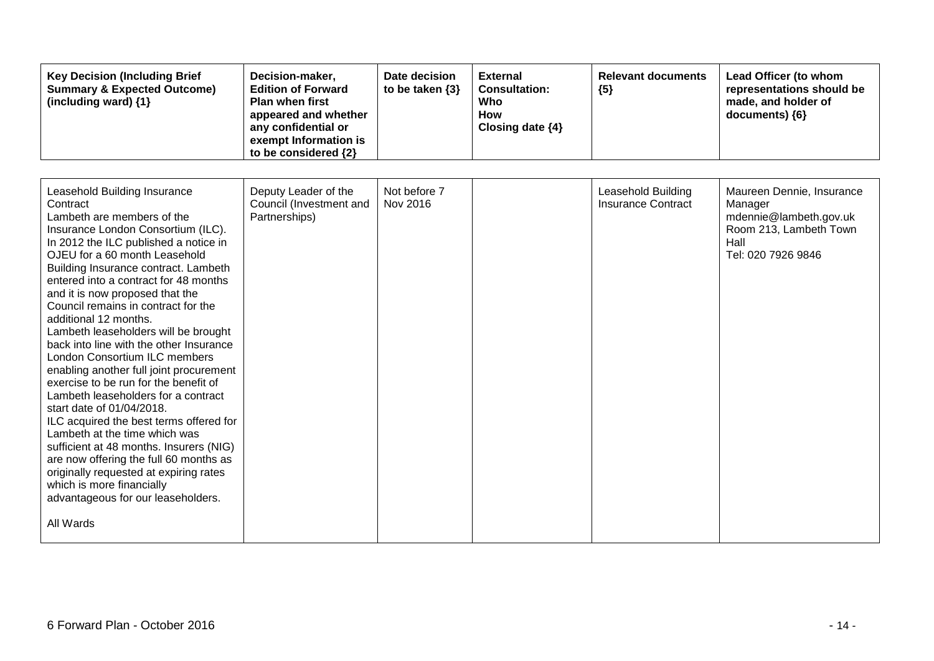| <b>Key Decision (Including Brief</b><br><b>Summary &amp; Expected Outcome)</b><br>(including ward) {1}                                                                                                                                                                                                                                                                                                                                                                                                                                                                                                                                                                                                                                                                                                                                                                                                                                            | Decision-maker,<br><b>Edition of Forward</b><br><b>Plan when first</b><br>appeared and whether<br>any confidential or<br>exempt Information is<br>to be considered {2} | Date decision<br>to be taken $\{3\}$ | <b>External</b><br><b>Consultation:</b><br>Who<br><b>How</b><br>Closing date {4} | <b>Relevant documents</b><br>${5}$              | Lead Officer (to whom<br>representations should be<br>made, and holder of<br>documents) {6}                            |
|---------------------------------------------------------------------------------------------------------------------------------------------------------------------------------------------------------------------------------------------------------------------------------------------------------------------------------------------------------------------------------------------------------------------------------------------------------------------------------------------------------------------------------------------------------------------------------------------------------------------------------------------------------------------------------------------------------------------------------------------------------------------------------------------------------------------------------------------------------------------------------------------------------------------------------------------------|------------------------------------------------------------------------------------------------------------------------------------------------------------------------|--------------------------------------|----------------------------------------------------------------------------------|-------------------------------------------------|------------------------------------------------------------------------------------------------------------------------|
| Leasehold Building Insurance<br>Contract<br>Lambeth are members of the<br>Insurance London Consortium (ILC).<br>In 2012 the ILC published a notice in<br>OJEU for a 60 month Leasehold<br>Building Insurance contract. Lambeth<br>entered into a contract for 48 months<br>and it is now proposed that the<br>Council remains in contract for the<br>additional 12 months.<br>Lambeth leaseholders will be brought<br>back into line with the other Insurance<br>London Consortium ILC members<br>enabling another full joint procurement<br>exercise to be run for the benefit of<br>Lambeth leaseholders for a contract<br>start date of 01/04/2018.<br>ILC acquired the best terms offered for<br>Lambeth at the time which was<br>sufficient at 48 months. Insurers (NIG)<br>are now offering the full 60 months as<br>originally requested at expiring rates<br>which is more financially<br>advantageous for our leaseholders.<br>All Wards | Deputy Leader of the<br>Council (Investment and<br>Partnerships)                                                                                                       | Not before 7<br>Nov 2016             |                                                                                  | Leasehold Building<br><b>Insurance Contract</b> | Maureen Dennie, Insurance<br>Manager<br>mdennie@lambeth.gov.uk<br>Room 213, Lambeth Town<br>Hall<br>Tel: 020 7926 9846 |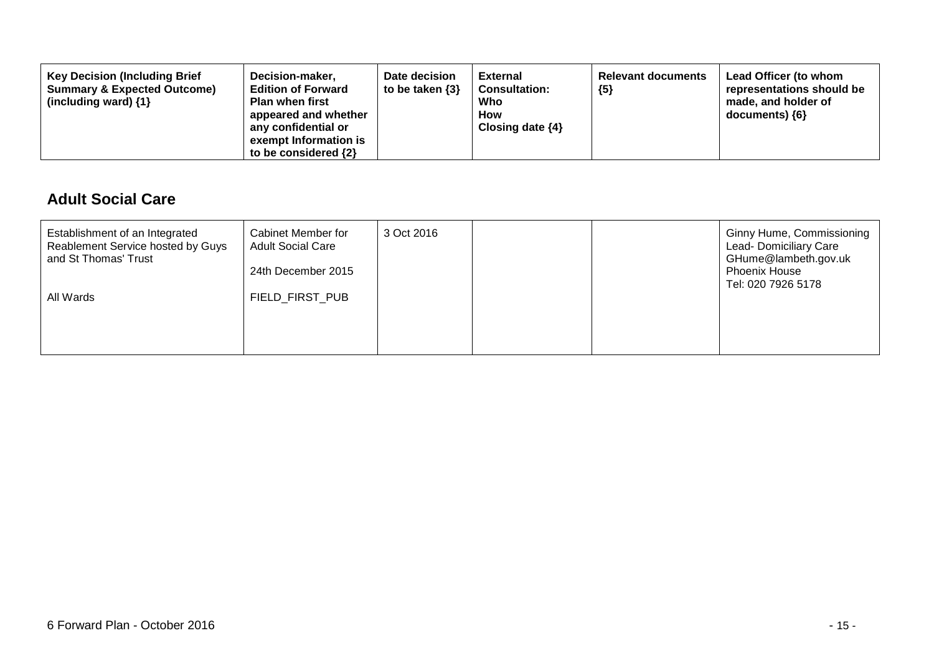| <b>Key Decision (Including Brief</b><br><b>Summary &amp; Expected Outcome)</b><br>(including ward) $\{1\}$ | Decision-maker,<br><b>Edition of Forward</b><br><b>Plan when first</b><br>appeared and whether<br>any confidential or<br>exempt Information is<br>to be considered $\{2\}$ | Date decision<br>to be taken $\{3\}$ | <b>External</b><br><b>Consultation:</b><br>Who<br>How<br>Closing date $\{4\}$ | <b>Relevant documents</b><br>${5}$ | Lead Officer (to whom<br>representations should be<br>made, and holder of<br>documents) ${6}$ |
|------------------------------------------------------------------------------------------------------------|----------------------------------------------------------------------------------------------------------------------------------------------------------------------------|--------------------------------------|-------------------------------------------------------------------------------|------------------------------------|-----------------------------------------------------------------------------------------------|
|------------------------------------------------------------------------------------------------------------|----------------------------------------------------------------------------------------------------------------------------------------------------------------------------|--------------------------------------|-------------------------------------------------------------------------------|------------------------------------|-----------------------------------------------------------------------------------------------|

### **Adult Social Care**

| Establishment of an Integrated<br>Reablement Service hosted by Guys<br>and St Thomas' Trust<br>All Wards | Cabinet Member for<br><b>Adult Social Care</b><br>24th December 2015<br>FIELD FIRST PUB | 3 Oct 2016 |  | <b>Ginny Hume, Commissioning</b><br>Lead- Domiciliary Care<br>GHume@lambeth.gov.uk<br><b>Phoenix House</b><br>Tel: 020 7926 5178 |
|----------------------------------------------------------------------------------------------------------|-----------------------------------------------------------------------------------------|------------|--|----------------------------------------------------------------------------------------------------------------------------------|
|                                                                                                          |                                                                                         |            |  |                                                                                                                                  |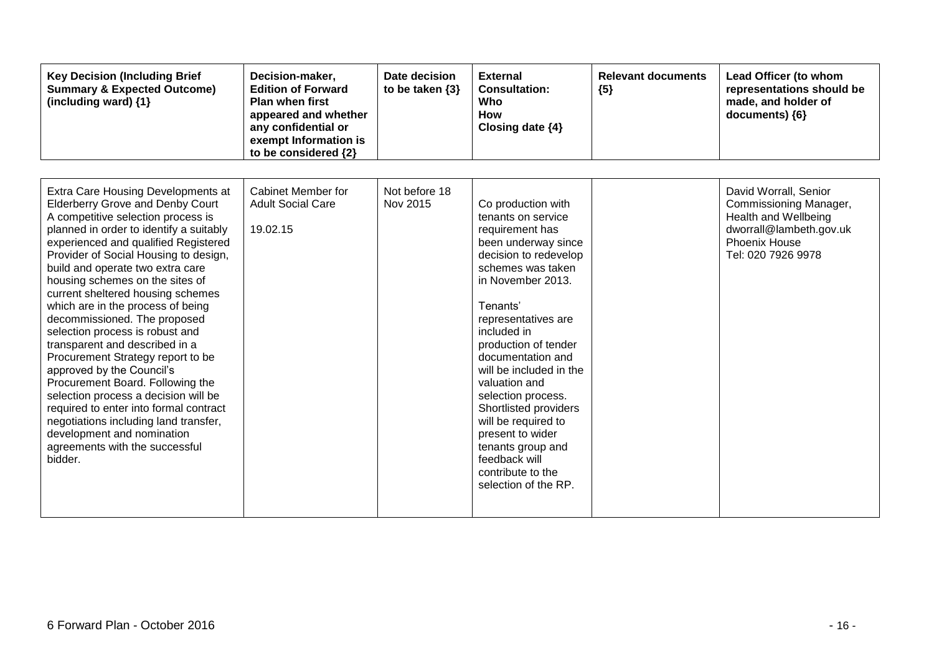| <b>Key Decision (Including Brief</b><br><b>Summary &amp; Expected Outcome)</b><br>(including ward) {1}                                                                                                                                                                                                                                                                                                                                                                                                                                                                                                                                                                                                                                                                                                            | Decision-maker,<br><b>Edition of Forward</b><br><b>Plan when first</b><br>appeared and whether<br>any confidential or<br>exempt Information is<br>to be considered {2} | Date decision<br>to be taken $\{3\}$ | <b>External</b><br><b>Consultation:</b><br>Who<br><b>How</b><br>Closing date $\{4\}$                                                                                                                                                                                                                                                                                                                                                                                          | <b>Relevant documents</b><br>${5}$ | Lead Officer (to whom<br>representations should be<br>made, and holder of<br>documents) {6}                                               |
|-------------------------------------------------------------------------------------------------------------------------------------------------------------------------------------------------------------------------------------------------------------------------------------------------------------------------------------------------------------------------------------------------------------------------------------------------------------------------------------------------------------------------------------------------------------------------------------------------------------------------------------------------------------------------------------------------------------------------------------------------------------------------------------------------------------------|------------------------------------------------------------------------------------------------------------------------------------------------------------------------|--------------------------------------|-------------------------------------------------------------------------------------------------------------------------------------------------------------------------------------------------------------------------------------------------------------------------------------------------------------------------------------------------------------------------------------------------------------------------------------------------------------------------------|------------------------------------|-------------------------------------------------------------------------------------------------------------------------------------------|
| Extra Care Housing Developments at<br><b>Elderberry Grove and Denby Court</b><br>A competitive selection process is<br>planned in order to identify a suitably<br>experienced and qualified Registered<br>Provider of Social Housing to design,<br>build and operate two extra care<br>housing schemes on the sites of<br>current sheltered housing schemes<br>which are in the process of being<br>decommissioned. The proposed<br>selection process is robust and<br>transparent and described in a<br>Procurement Strategy report to be<br>approved by the Council's<br>Procurement Board. Following the<br>selection process a decision will be<br>required to enter into formal contract<br>negotiations including land transfer,<br>development and nomination<br>agreements with the successful<br>bidder. | Cabinet Member for<br><b>Adult Social Care</b><br>19.02.15                                                                                                             | Not before 18<br>Nov 2015            | Co production with<br>tenants on service<br>requirement has<br>been underway since<br>decision to redevelop<br>schemes was taken<br>in November 2013.<br>Tenants'<br>representatives are<br>included in<br>production of tender<br>documentation and<br>will be included in the<br>valuation and<br>selection process.<br>Shortlisted providers<br>will be required to<br>present to wider<br>tenants group and<br>feedback will<br>contribute to the<br>selection of the RP. |                                    | David Worrall, Senior<br>Commissioning Manager,<br>Health and Wellbeing<br>dworrall@lambeth.gov.uk<br>Phoenix House<br>Tel: 020 7926 9978 |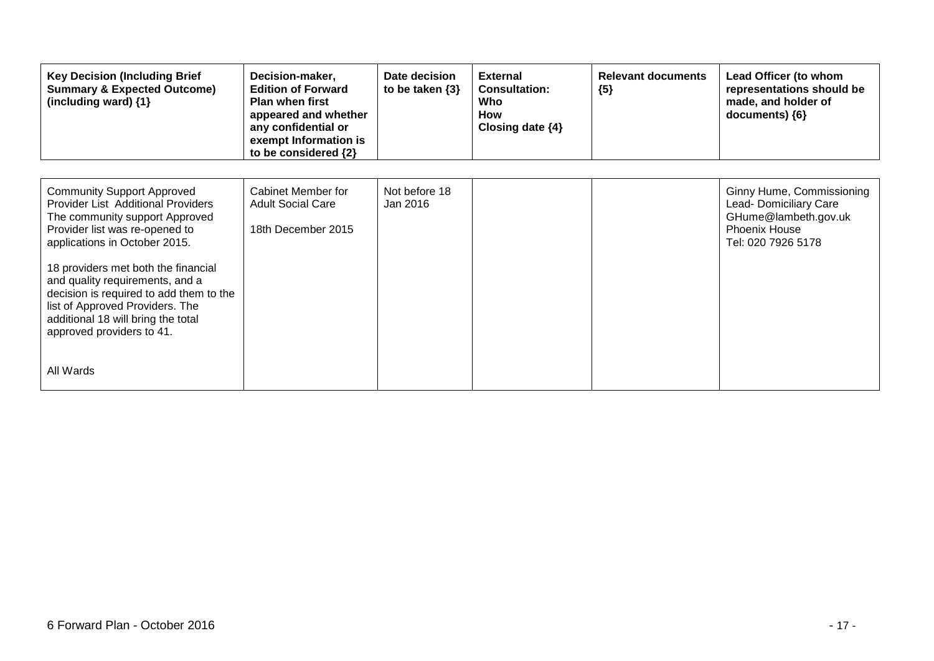| <b>Key Decision (Including Brief</b><br><b>Summary &amp; Expected Outcome)</b><br>(including ward) {1}                                                                                                                                                                                                                                                                                                                      | Decision-maker,<br><b>Edition of Forward</b><br><b>Plan when first</b><br>appeared and whether<br>any confidential or<br>exempt Information is<br>to be considered {2} | Date decision<br>to be taken $\{3\}$ | <b>External</b><br><b>Consultation:</b><br>Who<br><b>How</b><br>Closing date $\{4\}$ | <b>Relevant documents</b><br>${5}$ | Lead Officer (to whom<br>representations should be<br>made, and holder of<br>documents) {6}                               |
|-----------------------------------------------------------------------------------------------------------------------------------------------------------------------------------------------------------------------------------------------------------------------------------------------------------------------------------------------------------------------------------------------------------------------------|------------------------------------------------------------------------------------------------------------------------------------------------------------------------|--------------------------------------|--------------------------------------------------------------------------------------|------------------------------------|---------------------------------------------------------------------------------------------------------------------------|
| <b>Community Support Approved</b><br><b>Provider List Additional Providers</b><br>The community support Approved<br>Provider list was re-opened to<br>applications in October 2015.<br>18 providers met both the financial<br>and quality requirements, and a<br>decision is required to add them to the<br>list of Approved Providers. The<br>additional 18 will bring the total<br>approved providers to 41.<br>All Wards | Cabinet Member for<br><b>Adult Social Care</b><br>18th December 2015                                                                                                   | Not before 18<br>Jan 2016            |                                                                                      |                                    | Ginny Hume, Commissioning<br>Lead- Domiciliary Care<br>GHume@lambeth.gov.uk<br><b>Phoenix House</b><br>Tel: 020 7926 5178 |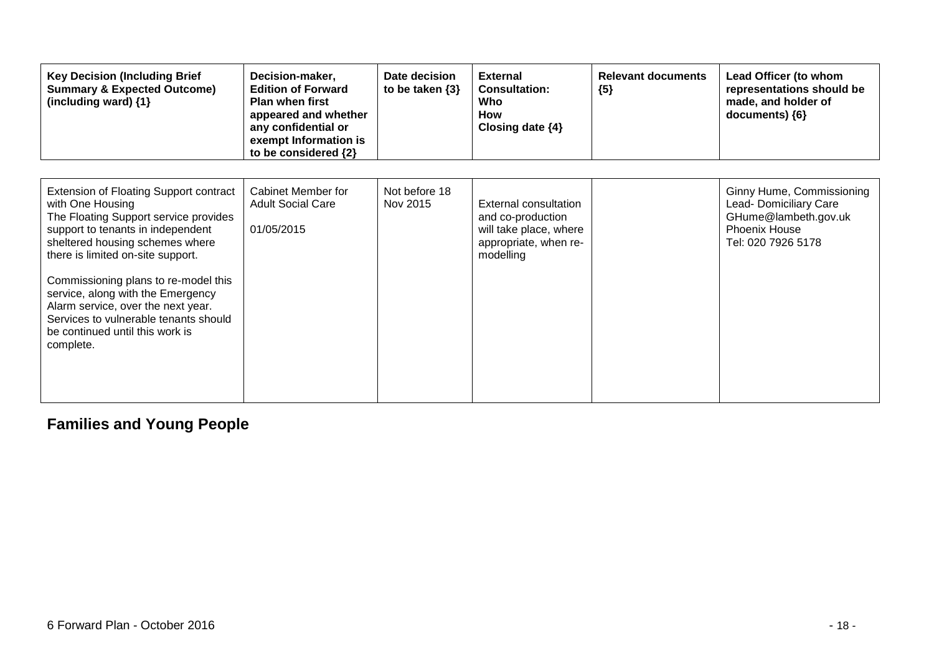| <b>Key Decision (Including Brief</b><br><b>Summary &amp; Expected Outcome)</b><br>(including ward) {1}                                                                                                                                                                                                                                                                                                                              | Decision-maker,<br><b>Edition of Forward</b><br><b>Plan when first</b><br>appeared and whether<br>any confidential or<br>exempt Information is<br>to be considered {2} | Date decision<br>to be taken $\{3\}$ | <b>External</b><br><b>Consultation:</b><br>Who<br><b>How</b><br>Closing date {4}                           | <b>Relevant documents</b><br>${5}$ | Lead Officer (to whom<br>representations should be<br>made, and holder of<br>documents) ${6}$                             |
|-------------------------------------------------------------------------------------------------------------------------------------------------------------------------------------------------------------------------------------------------------------------------------------------------------------------------------------------------------------------------------------------------------------------------------------|------------------------------------------------------------------------------------------------------------------------------------------------------------------------|--------------------------------------|------------------------------------------------------------------------------------------------------------|------------------------------------|---------------------------------------------------------------------------------------------------------------------------|
| <b>Extension of Floating Support contract</b><br>with One Housing<br>The Floating Support service provides<br>support to tenants in independent<br>sheltered housing schemes where<br>there is limited on-site support.<br>Commissioning plans to re-model this<br>service, along with the Emergency<br>Alarm service, over the next year.<br>Services to vulnerable tenants should<br>be continued until this work is<br>complete. | <b>Cabinet Member for</b><br><b>Adult Social Care</b><br>01/05/2015                                                                                                    | Not before 18<br>Nov 2015            | External consultation<br>and co-production<br>will take place, where<br>appropriate, when re-<br>modelling |                                    | Ginny Hume, Commissioning<br>Lead- Domiciliary Care<br>GHume@lambeth.gov.uk<br><b>Phoenix House</b><br>Tel: 020 7926 5178 |

## **Families and Young People**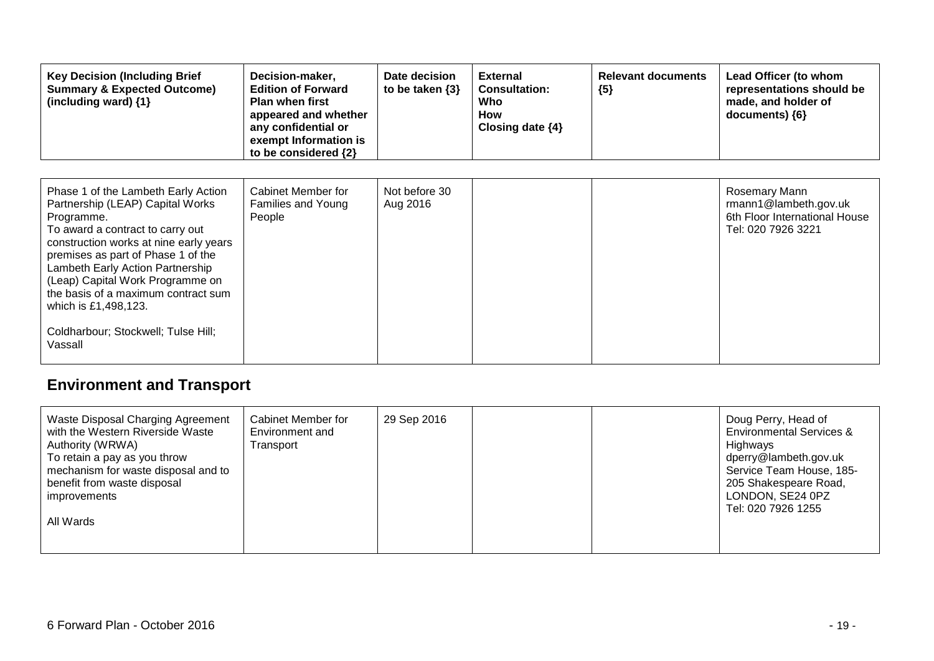| <b>Key Decision (Including Brief</b><br><b>Summary &amp; Expected Outcome)</b><br>(including ward) {1}                                                                                                                                                                                                                                                                                             | Decision-maker,<br><b>Edition of Forward</b><br><b>Plan when first</b><br>appeared and whether<br>any confidential or<br>exempt Information is<br>to be considered {2} | Date decision<br>to be taken $\{3\}$ | <b>External</b><br><b>Consultation:</b><br>Who<br>How<br>Closing date $\{4\}$ | <b>Relevant documents</b><br>${5}$ | Lead Officer (to whom<br>representations should be<br>made, and holder of<br>documents) ${6}$ |
|----------------------------------------------------------------------------------------------------------------------------------------------------------------------------------------------------------------------------------------------------------------------------------------------------------------------------------------------------------------------------------------------------|------------------------------------------------------------------------------------------------------------------------------------------------------------------------|--------------------------------------|-------------------------------------------------------------------------------|------------------------------------|-----------------------------------------------------------------------------------------------|
| Phase 1 of the Lambeth Early Action<br>Partnership (LEAP) Capital Works<br>Programme.<br>To award a contract to carry out<br>construction works at nine early years<br>premises as part of Phase 1 of the<br>Lambeth Early Action Partnership<br>(Leap) Capital Work Programme on<br>the basis of a maximum contract sum<br>which is £1,498,123.<br>Coldharbour; Stockwell; Tulse Hill;<br>Vassall | Cabinet Member for<br>Families and Young<br>People                                                                                                                     | Not before 30<br>Aug 2016            |                                                                               |                                    | Rosemary Mann<br>rmann1@lambeth.gov.uk<br>6th Floor International House<br>Tel: 020 7926 3221 |

# **Environment and Transport**

| Waste Disposal Charging Agreement<br>Cabinet Member for<br>29 Sep 2016<br>with the Western Riverside Waste<br>Environment and<br>Authority (WRWA)<br>Transport<br>To retain a pay as you throw<br>mechanism for waste disposal and to<br>benefit from waste disposal<br><i>improvements</i><br>All Wards | Doug Perry, Head of<br><b>Environmental Services &amp;</b><br>Highways<br>dperry@lambeth.gov.uk<br>Service Team House, 185-<br>205 Shakespeare Road,<br>LONDON, SE24 0PZ<br>Tel: 020 7926 1255 |
|----------------------------------------------------------------------------------------------------------------------------------------------------------------------------------------------------------------------------------------------------------------------------------------------------------|------------------------------------------------------------------------------------------------------------------------------------------------------------------------------------------------|
|----------------------------------------------------------------------------------------------------------------------------------------------------------------------------------------------------------------------------------------------------------------------------------------------------------|------------------------------------------------------------------------------------------------------------------------------------------------------------------------------------------------|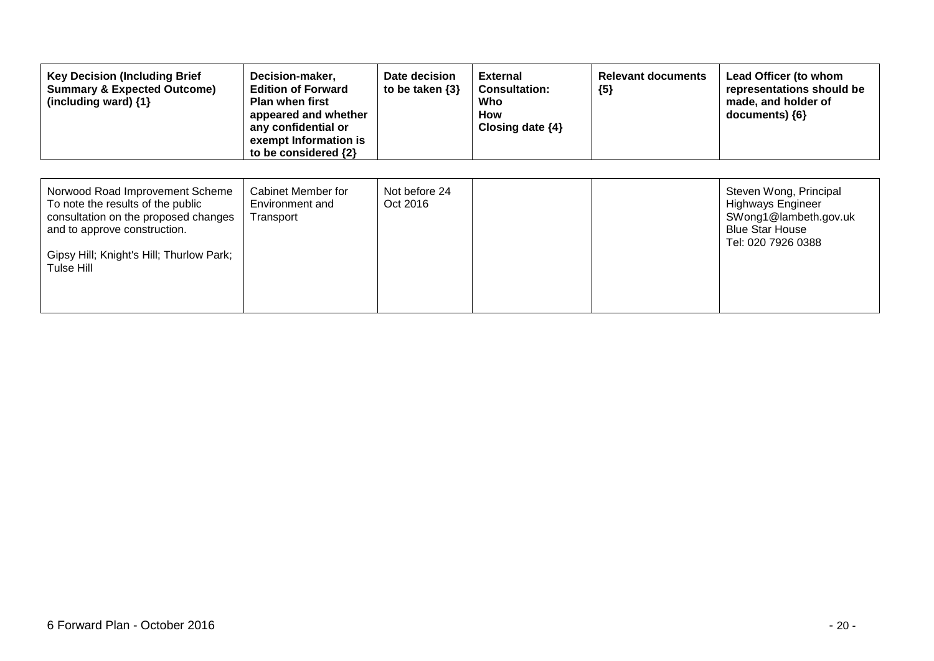| <b>Key Decision (Including Brief</b><br><b>Summary &amp; Expected Outcome)</b><br>(including ward) {1}                                                                                                 | Decision-maker,<br><b>Edition of Forward</b><br><b>Plan when first</b><br>appeared and whether<br>any confidential or<br>exempt Information is<br>to be considered {2} | Date decision<br>to be taken $\{3\}$ | <b>External</b><br><b>Consultation:</b><br>Who<br>How<br>Closing date $\{4\}$ | <b>Relevant documents</b><br>${5}$ | Lead Officer (to whom<br>representations should be<br>made, and holder of<br>documents) $\{6\}$                             |
|--------------------------------------------------------------------------------------------------------------------------------------------------------------------------------------------------------|------------------------------------------------------------------------------------------------------------------------------------------------------------------------|--------------------------------------|-------------------------------------------------------------------------------|------------------------------------|-----------------------------------------------------------------------------------------------------------------------------|
| Norwood Road Improvement Scheme<br>To note the results of the public<br>consultation on the proposed changes<br>and to approve construction.<br>Gipsy Hill; Knight's Hill; Thurlow Park;<br>Tulse Hill | Cabinet Member for<br>Environment and<br>Transport                                                                                                                     | Not before 24<br>Oct 2016            |                                                                               |                                    | Steven Wong, Principal<br><b>Highways Engineer</b><br>SWong1@lambeth.gov.uk<br><b>Blue Star House</b><br>Tel: 020 7926 0388 |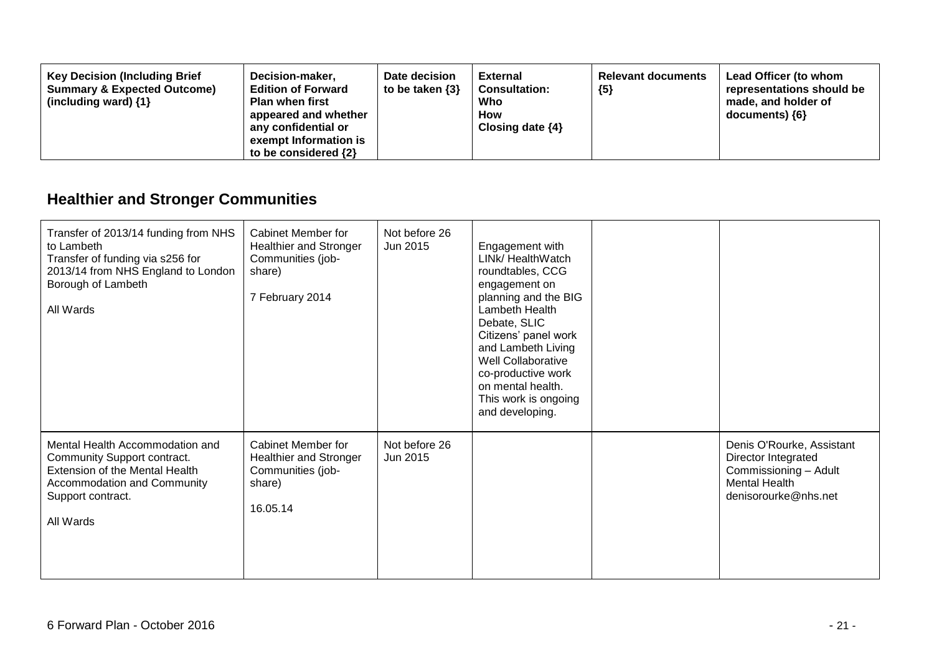| <b>Key Decision (Including Brief</b><br><b>Summary &amp; Expected Outcome)</b><br>(including ward) $\{1\}$ | Decision-maker,<br><b>Edition of Forward</b><br><b>Plan when first</b><br>appeared and whether<br>any confidential or<br>exempt Information is<br>to be considered $\{2\}$ | Date decision<br>to be taken $\{3\}$ | <b>External</b><br><b>Consultation:</b><br>Who<br><b>How</b><br>Closing date $\{4\}$ | <b>Relevant documents</b><br>${5}$ | Lead Officer (to whom<br>representations should be<br>made, and holder of<br>documents) ${6}$ |
|------------------------------------------------------------------------------------------------------------|----------------------------------------------------------------------------------------------------------------------------------------------------------------------------|--------------------------------------|--------------------------------------------------------------------------------------|------------------------------------|-----------------------------------------------------------------------------------------------|
|------------------------------------------------------------------------------------------------------------|----------------------------------------------------------------------------------------------------------------------------------------------------------------------------|--------------------------------------|--------------------------------------------------------------------------------------|------------------------------------|-----------------------------------------------------------------------------------------------|

# **Healthier and Stronger Communities**

| Transfer of 2013/14 funding from NHS<br>to Lambeth<br>Transfer of funding via s256 for<br>2013/14 from NHS England to London<br>Borough of Lambeth<br>All Wards   | <b>Cabinet Member for</b><br><b>Healthier and Stronger</b><br>Communities (job-<br>share)<br>7 February 2014 | Not before 26<br>Jun 2015 | Engagement with<br>LINk/ HealthWatch<br>roundtables, CCG<br>engagement on<br>planning and the BIG<br>Lambeth Health<br>Debate, SLIC<br>Citizens' panel work<br>and Lambeth Living<br>Well Collaborative<br>co-productive work<br>on mental health.<br>This work is ongoing<br>and developing. |                                                                                                                           |
|-------------------------------------------------------------------------------------------------------------------------------------------------------------------|--------------------------------------------------------------------------------------------------------------|---------------------------|-----------------------------------------------------------------------------------------------------------------------------------------------------------------------------------------------------------------------------------------------------------------------------------------------|---------------------------------------------------------------------------------------------------------------------------|
| Mental Health Accommodation and<br>Community Support contract.<br>Extension of the Mental Health<br>Accommodation and Community<br>Support contract.<br>All Wards | <b>Cabinet Member for</b><br>Healthier and Stronger<br>Communities (job-<br>share)<br>16.05.14               | Not before 26<br>Jun 2015 |                                                                                                                                                                                                                                                                                               | Denis O'Rourke, Assistant<br>Director Integrated<br>Commissioning - Adult<br><b>Mental Health</b><br>denisorourke@nhs.net |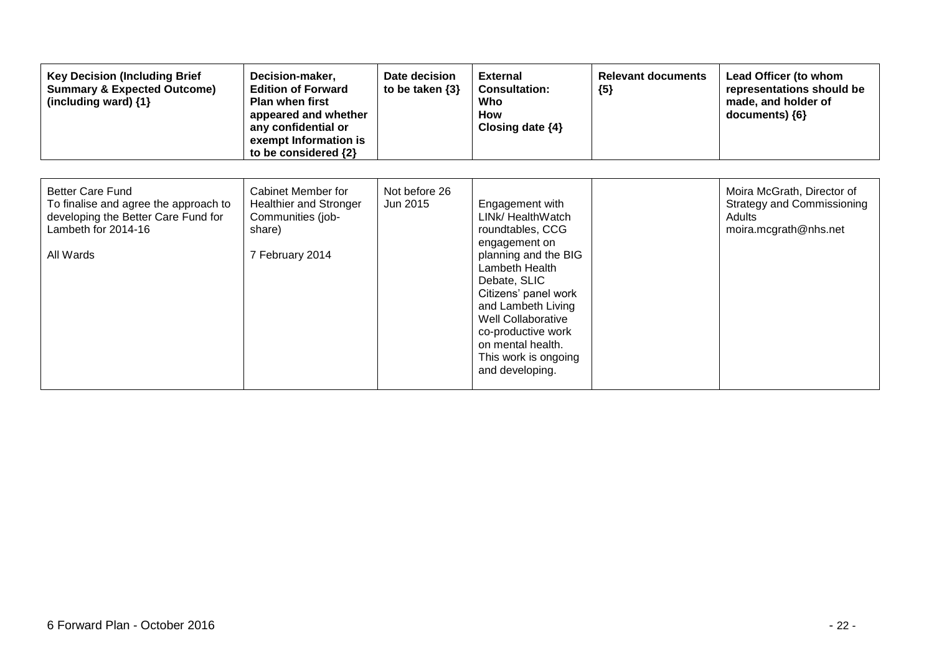| <b>Key Decision (Including Brief</b><br><b>Summary &amp; Expected Outcome)</b><br>(including ward) {1}                                      | Decision-maker,<br><b>Edition of Forward</b><br><b>Plan when first</b><br>appeared and whether<br>any confidential or<br>exempt Information is<br>to be considered {2} | Date decision<br>to be taken $\{3\}$ | <b>External</b><br><b>Consultation:</b><br>Who<br><b>How</b><br>Closing date $\{4\}$                                                                                                                                                                                                          | <b>Relevant documents</b><br>${5}$ | Lead Officer (to whom<br>representations should be<br>made, and holder of<br>documents) ${6}$      |
|---------------------------------------------------------------------------------------------------------------------------------------------|------------------------------------------------------------------------------------------------------------------------------------------------------------------------|--------------------------------------|-----------------------------------------------------------------------------------------------------------------------------------------------------------------------------------------------------------------------------------------------------------------------------------------------|------------------------------------|----------------------------------------------------------------------------------------------------|
| <b>Better Care Fund</b><br>To finalise and agree the approach to<br>developing the Better Care Fund for<br>Lambeth for 2014-16<br>All Wards | Cabinet Member for<br><b>Healthier and Stronger</b><br>Communities (job-<br>share)<br>7 February 2014                                                                  | Not before 26<br>Jun 2015            | Engagement with<br>LINk/ HealthWatch<br>roundtables, CCG<br>engagement on<br>planning and the BIG<br>Lambeth Health<br>Debate, SLIC<br>Citizens' panel work<br>and Lambeth Living<br>Well Collaborative<br>co-productive work<br>on mental health.<br>This work is ongoing<br>and developing. |                                    | Moira McGrath, Director of<br><b>Strategy and Commissioning</b><br>Adults<br>moira.mcgrath@nhs.net |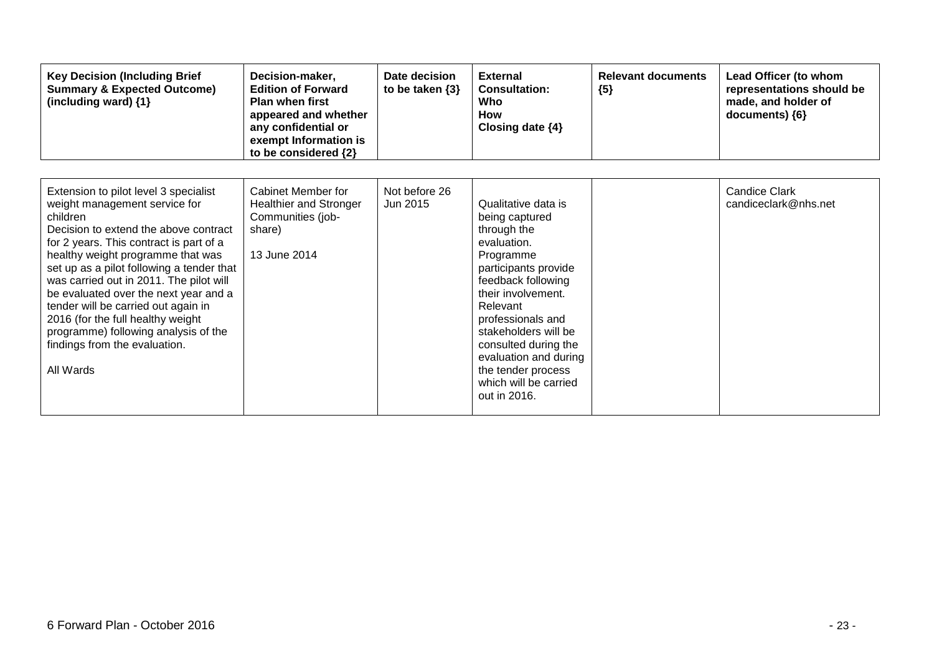| <b>Key Decision (Including Brief</b><br><b>Summary &amp; Expected Outcome)</b><br>(including ward) {1}                                                                                                                                                                                                                                                                                                                                                                                                         | Decision-maker,<br><b>Edition of Forward</b><br><b>Plan when first</b><br>appeared and whether<br>any confidential or<br>exempt Information is<br>to be considered {2} | Date decision<br>to be taken $\{3\}$ | <b>External</b><br><b>Consultation:</b><br>Who<br><b>How</b><br>Closing date $\{4\}$                                                                                                                                                                                                                                          | <b>Relevant documents</b><br>${5}$ | Lead Officer (to whom<br>representations should be<br>made, and holder of<br>documents) {6} |
|----------------------------------------------------------------------------------------------------------------------------------------------------------------------------------------------------------------------------------------------------------------------------------------------------------------------------------------------------------------------------------------------------------------------------------------------------------------------------------------------------------------|------------------------------------------------------------------------------------------------------------------------------------------------------------------------|--------------------------------------|-------------------------------------------------------------------------------------------------------------------------------------------------------------------------------------------------------------------------------------------------------------------------------------------------------------------------------|------------------------------------|---------------------------------------------------------------------------------------------|
| Extension to pilot level 3 specialist<br>weight management service for<br>children<br>Decision to extend the above contract<br>for 2 years. This contract is part of a<br>healthy weight programme that was<br>set up as a pilot following a tender that<br>was carried out in 2011. The pilot will<br>be evaluated over the next year and a<br>tender will be carried out again in<br>2016 (for the full healthy weight<br>programme) following analysis of the<br>findings from the evaluation.<br>All Wards | Cabinet Member for<br><b>Healthier and Stronger</b><br>Communities (job-<br>share)<br>13 June 2014                                                                     | Not before 26<br>Jun 2015            | Qualitative data is<br>being captured<br>through the<br>evaluation.<br>Programme<br>participants provide<br>feedback following<br>their involvement.<br>Relevant<br>professionals and<br>stakeholders will be<br>consulted during the<br>evaluation and during<br>the tender process<br>which will be carried<br>out in 2016. |                                    | <b>Candice Clark</b><br>candiceclark@nhs.net                                                |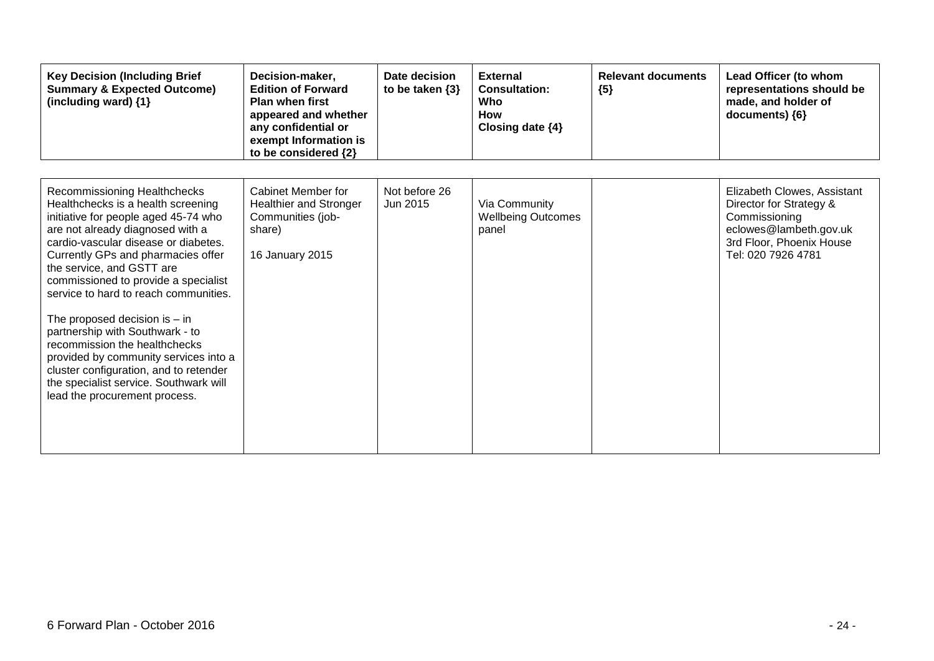| <b>Key Decision (Including Brief</b><br><b>Summary &amp; Expected Outcome)</b><br>(including ward) {1}                                                                                                                                                                                                                                                                                                                                                                                                                                                                                                          | Decision-maker,<br><b>Edition of Forward</b><br><b>Plan when first</b><br>appeared and whether<br>any confidential or<br>exempt Information is<br>to be considered {2} | Date decision<br>to be taken $\{3\}$ | <b>External</b><br><b>Consultation:</b><br>Who<br><b>How</b><br>Closing date $\{4\}$ | <b>Relevant documents</b><br>${5}$ | Lead Officer (to whom<br>representations should be<br>made, and holder of<br>documents) {6}                                                         |
|-----------------------------------------------------------------------------------------------------------------------------------------------------------------------------------------------------------------------------------------------------------------------------------------------------------------------------------------------------------------------------------------------------------------------------------------------------------------------------------------------------------------------------------------------------------------------------------------------------------------|------------------------------------------------------------------------------------------------------------------------------------------------------------------------|--------------------------------------|--------------------------------------------------------------------------------------|------------------------------------|-----------------------------------------------------------------------------------------------------------------------------------------------------|
| Recommissioning Healthchecks<br>Healthchecks is a health screening<br>initiative for people aged 45-74 who<br>are not already diagnosed with a<br>cardio-vascular disease or diabetes.<br>Currently GPs and pharmacies offer<br>the service, and GSTT are<br>commissioned to provide a specialist<br>service to hard to reach communities.<br>The proposed decision is $-$ in<br>partnership with Southwark - to<br>recommission the healthchecks<br>provided by community services into a<br>cluster configuration, and to retender<br>the specialist service. Southwark will<br>lead the procurement process. | Cabinet Member for<br><b>Healthier and Stronger</b><br>Communities (job-<br>share)<br>16 January 2015                                                                  | Not before 26<br>Jun 2015            | Via Community<br><b>Wellbeing Outcomes</b><br>panel                                  |                                    | Elizabeth Clowes, Assistant<br>Director for Strategy &<br>Commissioning<br>eclowes@lambeth.gov.uk<br>3rd Floor, Phoenix House<br>Tel: 020 7926 4781 |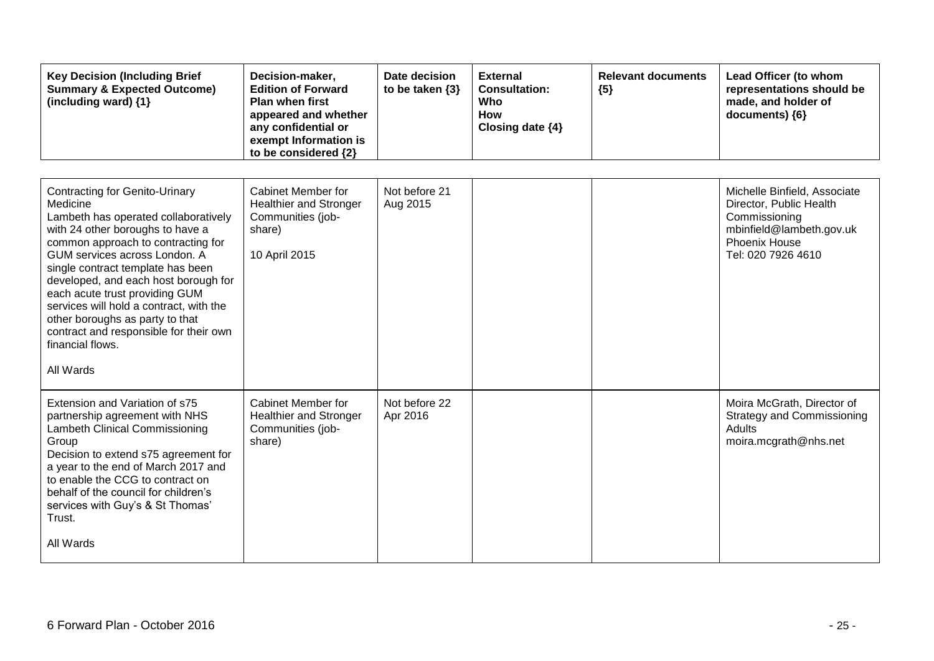| <b>Key Decision (Including Brief</b><br><b>Summary &amp; Expected Outcome)</b><br>(including ward) {1}                                                                                                                                                                                                                                                                                                                                                                       | Decision-maker,<br><b>Edition of Forward</b><br><b>Plan when first</b><br>appeared and whether<br>any confidential or<br>exempt Information is<br>to be considered {2} | Date decision<br>to be taken $\{3\}$ | <b>External</b><br><b>Consultation:</b><br>Who<br>How<br>Closing date {4} | <b>Relevant documents</b><br>${5}$ | Lead Officer (to whom<br>representations should be<br>made, and holder of<br>documents) {6}                                                        |
|------------------------------------------------------------------------------------------------------------------------------------------------------------------------------------------------------------------------------------------------------------------------------------------------------------------------------------------------------------------------------------------------------------------------------------------------------------------------------|------------------------------------------------------------------------------------------------------------------------------------------------------------------------|--------------------------------------|---------------------------------------------------------------------------|------------------------------------|----------------------------------------------------------------------------------------------------------------------------------------------------|
| <b>Contracting for Genito-Urinary</b><br>Medicine<br>Lambeth has operated collaboratively<br>with 24 other boroughs to have a<br>common approach to contracting for<br>GUM services across London. A<br>single contract template has been<br>developed, and each host borough for<br>each acute trust providing GUM<br>services will hold a contract, with the<br>other boroughs as party to that<br>contract and responsible for their own<br>financial flows.<br>All Wards | Cabinet Member for<br><b>Healthier and Stronger</b><br>Communities (job-<br>share)<br>10 April 2015                                                                    | Not before 21<br>Aug 2015            |                                                                           |                                    | Michelle Binfield, Associate<br>Director, Public Health<br>Commissioning<br>mbinfield@lambeth.gov.uk<br><b>Phoenix House</b><br>Tel: 020 7926 4610 |
| Extension and Variation of s75<br>partnership agreement with NHS<br>Lambeth Clinical Commissioning<br>Group<br>Decision to extend s75 agreement for<br>a year to the end of March 2017 and<br>to enable the CCG to contract on<br>behalf of the council for children's<br>services with Guy's & St Thomas'<br>Trust.<br>All Wards                                                                                                                                            | Cabinet Member for<br><b>Healthier and Stronger</b><br>Communities (job-<br>share)                                                                                     | Not before 22<br>Apr 2016            |                                                                           |                                    | Moira McGrath, Director of<br><b>Strategy and Commissioning</b><br>Adults<br>moira.mcgrath@nhs.net                                                 |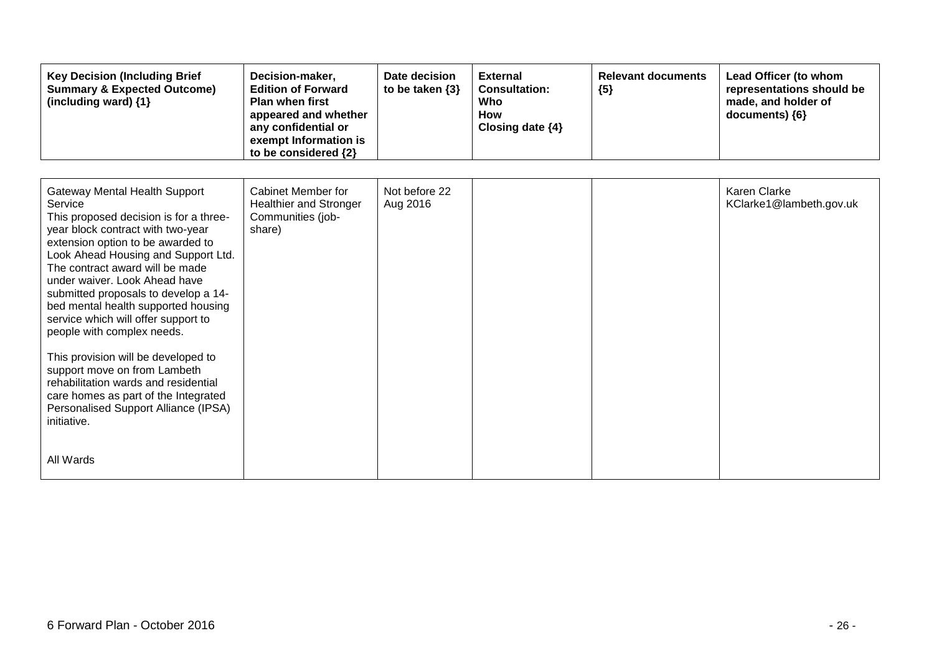| <b>Key Decision (Including Brief</b><br><b>Summary &amp; Expected Outcome)</b><br>(including ward) {1}                                                                                                                                                                                                                                                                                                                                                                                                                                                                                                                                                 | Decision-maker,<br><b>Edition of Forward</b><br><b>Plan when first</b><br>appeared and whether<br>any confidential or<br>exempt Information is<br>to be considered {2} | Date decision<br>to be taken $\{3\}$ | <b>External</b><br><b>Consultation:</b><br>Who<br><b>How</b><br>Closing date {4} | <b>Relevant documents</b><br>${5}$ | Lead Officer (to whom<br>representations should be<br>made, and holder of<br>documents) ${6}$ |
|--------------------------------------------------------------------------------------------------------------------------------------------------------------------------------------------------------------------------------------------------------------------------------------------------------------------------------------------------------------------------------------------------------------------------------------------------------------------------------------------------------------------------------------------------------------------------------------------------------------------------------------------------------|------------------------------------------------------------------------------------------------------------------------------------------------------------------------|--------------------------------------|----------------------------------------------------------------------------------|------------------------------------|-----------------------------------------------------------------------------------------------|
| Gateway Mental Health Support<br>Service<br>This proposed decision is for a three-<br>year block contract with two-year<br>extension option to be awarded to<br>Look Ahead Housing and Support Ltd.<br>The contract award will be made<br>under waiver. Look Ahead have<br>submitted proposals to develop a 14-<br>bed mental health supported housing<br>service which will offer support to<br>people with complex needs.<br>This provision will be developed to<br>support move on from Lambeth<br>rehabilitation wards and residential<br>care homes as part of the Integrated<br>Personalised Support Alliance (IPSA)<br>initiative.<br>All Wards | Cabinet Member for<br><b>Healthier and Stronger</b><br>Communities (job-<br>share)                                                                                     | Not before 22<br>Aug 2016            |                                                                                  |                                    | <b>Karen Clarke</b><br>KClarke1@lambeth.gov.uk                                                |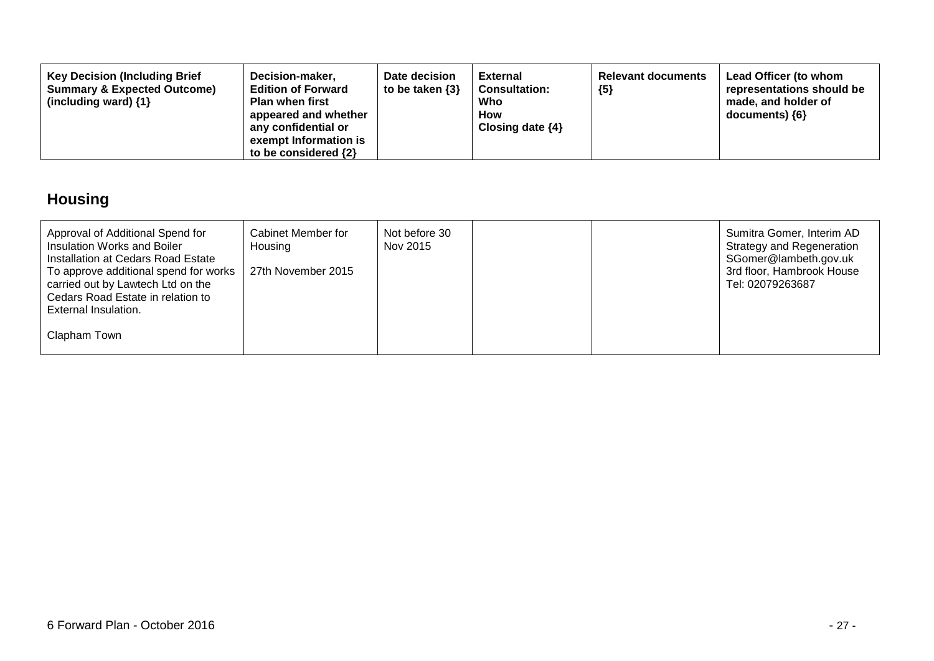| <b>Key Decision (Including Brief</b><br>Decision-maker,<br><b>Summary &amp; Expected Outcome)</b><br><b>Edition of Forward</b><br>(including ward) $\{1\}$<br><b>Plan when first</b><br>appeared and whether<br>any confidential or<br>exempt Information is<br>to be considered $\{2\}$ | Date decision<br>to be taken $\{3\}$ | External<br><b>Consultation:</b><br>Who<br>How<br>Closing date $\{4\}$ | <b>Relevant documents</b><br>${5}$ | Lead Officer (to whom<br>representations should be<br>made, and holder of<br>$documents)$ {6} |
|------------------------------------------------------------------------------------------------------------------------------------------------------------------------------------------------------------------------------------------------------------------------------------------|--------------------------------------|------------------------------------------------------------------------|------------------------------------|-----------------------------------------------------------------------------------------------|
|------------------------------------------------------------------------------------------------------------------------------------------------------------------------------------------------------------------------------------------------------------------------------------------|--------------------------------------|------------------------------------------------------------------------|------------------------------------|-----------------------------------------------------------------------------------------------|

## **Housing**

| Approval of Additional Spend for<br>Insulation Works and Boiler<br>Installation at Cedars Road Estate<br>To approve additional spend for works<br>carried out by Lawtech Ltd on the | Cabinet Member for<br>Housing<br>27th November 2015 | Not before 30<br>Nov 2015 |  | Sumitra Gomer, Interim AD<br><b>Strategy and Regeneration</b><br>SGomer@lambeth.gov.uk<br>3rd floor, Hambrook House<br>Tel: 02079263687 |
|-------------------------------------------------------------------------------------------------------------------------------------------------------------------------------------|-----------------------------------------------------|---------------------------|--|-----------------------------------------------------------------------------------------------------------------------------------------|
| Cedars Road Estate in relation to<br>External Insulation.                                                                                                                           |                                                     |                           |  |                                                                                                                                         |
| Clapham Town                                                                                                                                                                        |                                                     |                           |  |                                                                                                                                         |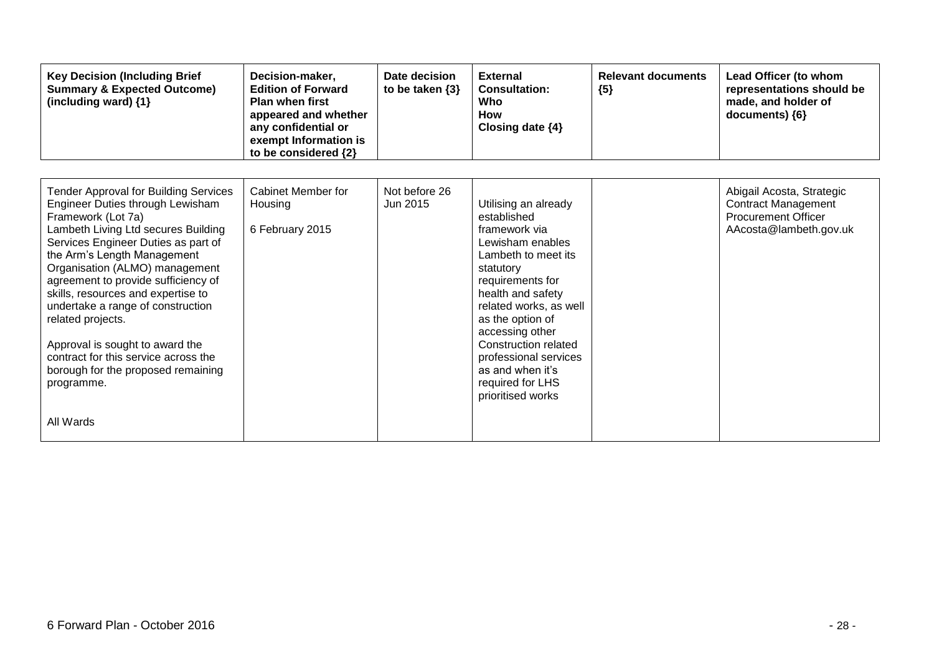| <b>Key Decision (Including Brief</b><br><b>Summary &amp; Expected Outcome)</b><br>(including ward) {1}                                                                                                                                                                                                                                                                                                                                                                                                                                   | Decision-maker,<br><b>Edition of Forward</b><br><b>Plan when first</b><br>appeared and whether<br>any confidential or<br>exempt Information is<br>to be considered {2} | Date decision<br>to be taken $\{3\}$ | <b>External</b><br><b>Consultation:</b><br>Who<br>How<br>Closing date $\{4\}$                                                                                                                                                                                                                                                               | <b>Relevant documents</b><br>${5}$ | Lead Officer (to whom<br>representations should be<br>made, and holder of<br>documents) {6}                     |
|------------------------------------------------------------------------------------------------------------------------------------------------------------------------------------------------------------------------------------------------------------------------------------------------------------------------------------------------------------------------------------------------------------------------------------------------------------------------------------------------------------------------------------------|------------------------------------------------------------------------------------------------------------------------------------------------------------------------|--------------------------------------|---------------------------------------------------------------------------------------------------------------------------------------------------------------------------------------------------------------------------------------------------------------------------------------------------------------------------------------------|------------------------------------|-----------------------------------------------------------------------------------------------------------------|
| <b>Tender Approval for Building Services</b><br>Engineer Duties through Lewisham<br>Framework (Lot 7a)<br>Lambeth Living Ltd secures Building<br>Services Engineer Duties as part of<br>the Arm's Length Management<br>Organisation (ALMO) management<br>agreement to provide sufficiency of<br>skills, resources and expertise to<br>undertake a range of construction<br>related projects.<br>Approval is sought to award the<br>contract for this service across the<br>borough for the proposed remaining<br>programme.<br>All Wards | Cabinet Member for<br>Housing<br>6 February 2015                                                                                                                       | Not before 26<br>Jun 2015            | Utilising an already<br>established<br>framework via<br>Lewisham enables<br>Lambeth to meet its<br>statutory<br>requirements for<br>health and safety<br>related works, as well<br>as the option of<br>accessing other<br><b>Construction related</b><br>professional services<br>as and when it's<br>required for LHS<br>prioritised works |                                    | Abigail Acosta, Strategic<br><b>Contract Management</b><br><b>Procurement Officer</b><br>AAcosta@lambeth.gov.uk |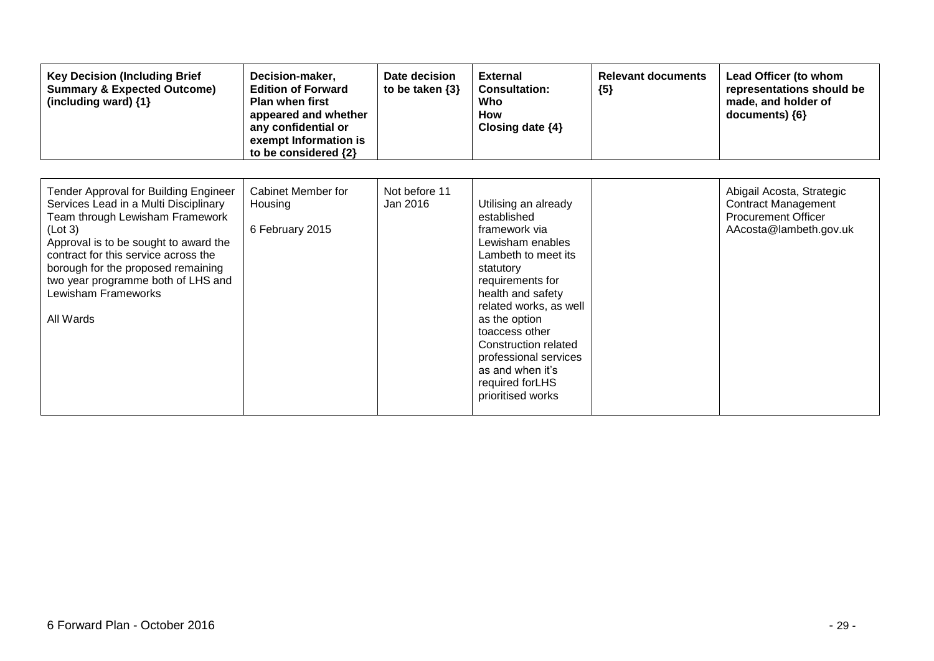| <b>Key Decision (Including Brief</b><br><b>Summary &amp; Expected Outcome)</b><br>(including ward) {1}                                                                                                                                                                                                                        | Decision-maker,<br><b>Edition of Forward</b><br><b>Plan when first</b><br>appeared and whether<br>any confidential or<br>exempt Information is<br>to be considered {2} | Date decision<br>to be taken $\{3\}$ | <b>External</b><br><b>Consultation:</b><br>Who<br><b>How</b><br>Closing date $\{4\}$                                                                                                                                                                                                                                             | <b>Relevant documents</b><br>${5}$ | Lead Officer (to whom<br>representations should be<br>made, and holder of<br>documents) ${6}$                   |
|-------------------------------------------------------------------------------------------------------------------------------------------------------------------------------------------------------------------------------------------------------------------------------------------------------------------------------|------------------------------------------------------------------------------------------------------------------------------------------------------------------------|--------------------------------------|----------------------------------------------------------------------------------------------------------------------------------------------------------------------------------------------------------------------------------------------------------------------------------------------------------------------------------|------------------------------------|-----------------------------------------------------------------------------------------------------------------|
| Tender Approval for Building Engineer<br>Services Lead in a Multi Disciplinary<br>Team through Lewisham Framework<br>(Lot 3)<br>Approval is to be sought to award the<br>contract for this service across the<br>borough for the proposed remaining<br>two year programme both of LHS and<br>Lewisham Frameworks<br>All Wards | <b>Cabinet Member for</b><br>Housing<br>6 February 2015                                                                                                                | Not before 11<br>Jan 2016            | Utilising an already<br>established<br>framework via<br>Lewisham enables<br>Lambeth to meet its<br>statutory<br>requirements for<br>health and safety<br>related works, as well<br>as the option<br>toaccess other<br>Construction related<br>professional services<br>as and when it's<br>required for LHS<br>prioritised works |                                    | Abigail Acosta, Strategic<br><b>Contract Management</b><br><b>Procurement Officer</b><br>AAcosta@lambeth.gov.uk |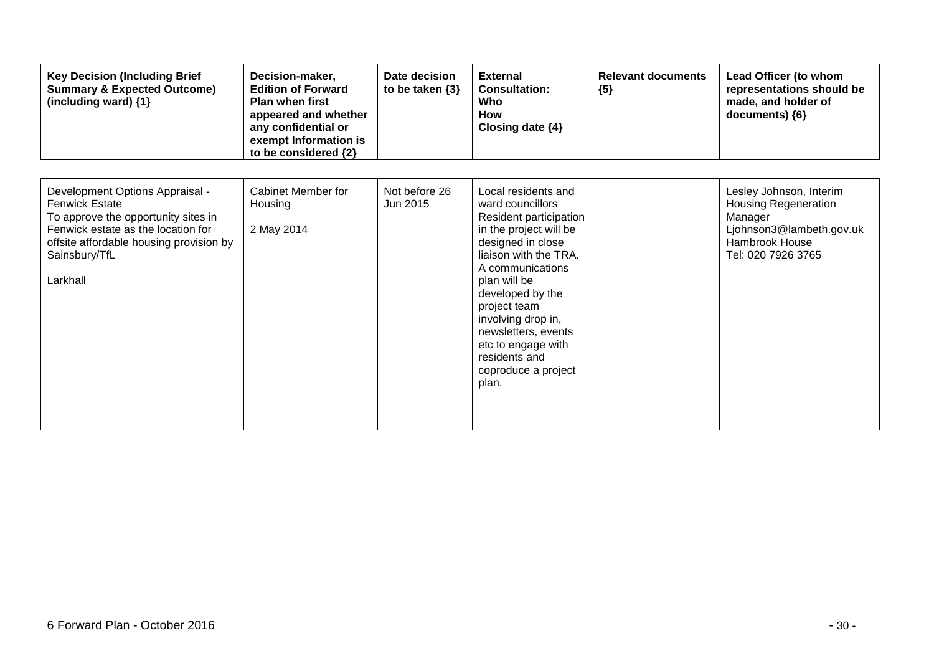| <b>Key Decision (Including Brief</b><br><b>Summary &amp; Expected Outcome)</b><br>(including ward) {1}                                                                                                        | Decision-maker,<br><b>Edition of Forward</b><br><b>Plan when first</b><br>appeared and whether<br>any confidential or<br>exempt Information is<br>to be considered {2} | Date decision<br>to be taken $\{3\}$ | <b>External</b><br><b>Consultation:</b><br>Who<br>How<br>Closing date $\{4\}$                                                                                                                                                                                                                                                         | <b>Relevant documents</b><br>${5}$ | Lead Officer (to whom<br>representations should be<br>made, and holder of<br>documents) {6}                                           |
|---------------------------------------------------------------------------------------------------------------------------------------------------------------------------------------------------------------|------------------------------------------------------------------------------------------------------------------------------------------------------------------------|--------------------------------------|---------------------------------------------------------------------------------------------------------------------------------------------------------------------------------------------------------------------------------------------------------------------------------------------------------------------------------------|------------------------------------|---------------------------------------------------------------------------------------------------------------------------------------|
| Development Options Appraisal -<br><b>Fenwick Estate</b><br>To approve the opportunity sites in<br>Fenwick estate as the location for<br>offsite affordable housing provision by<br>Sainsbury/TfL<br>Larkhall | Cabinet Member for<br>Housing<br>2 May 2014                                                                                                                            | Not before 26<br>Jun 2015            | Local residents and<br>ward councillors<br>Resident participation<br>in the project will be<br>designed in close<br>liaison with the TRA.<br>A communications<br>plan will be<br>developed by the<br>project team<br>involving drop in,<br>newsletters, events<br>etc to engage with<br>residents and<br>coproduce a project<br>plan. |                                    | Lesley Johnson, Interim<br><b>Housing Regeneration</b><br>Manager<br>Ljohnson3@lambeth.gov.uk<br>Hambrook House<br>Tel: 020 7926 3765 |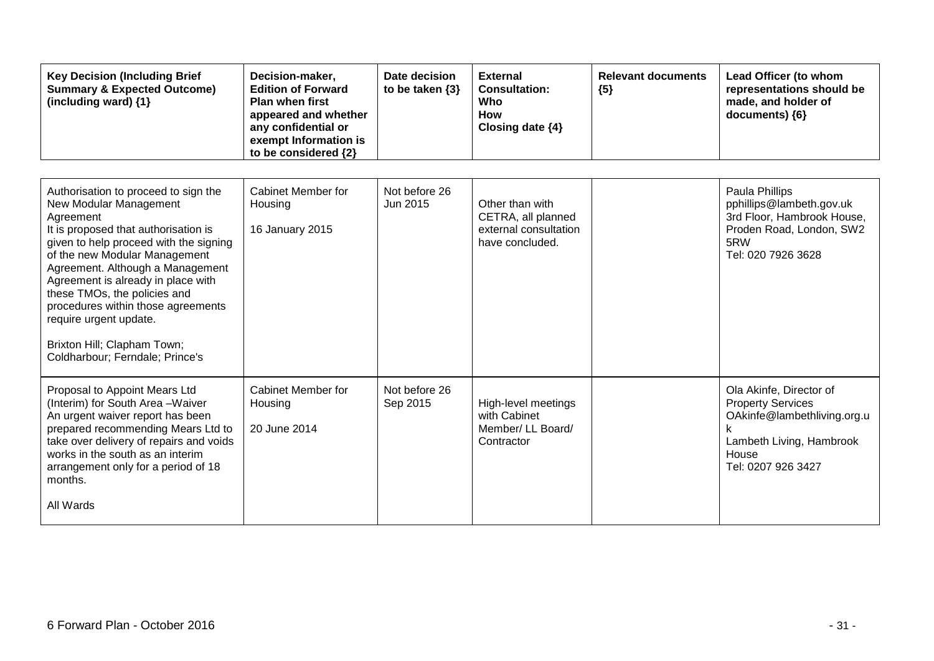| <b>Key Decision (Including Brief</b><br><b>Summary &amp; Expected Outcome)</b><br>(including ward) {1}                                                                                                                                                                                                                                                                                                                                     | Decision-maker,<br><b>Edition of Forward</b><br><b>Plan when first</b><br>appeared and whether<br>any confidential or<br>exempt Information is<br>to be considered {2} | Date decision<br>to be taken $\{3\}$ | <b>External</b><br><b>Consultation:</b><br>Who<br>How<br>Closing date {4}         | <b>Relevant documents</b><br>${5}$ | Lead Officer (to whom<br>representations should be<br>made, and holder of<br>documents) {6}                                                   |
|--------------------------------------------------------------------------------------------------------------------------------------------------------------------------------------------------------------------------------------------------------------------------------------------------------------------------------------------------------------------------------------------------------------------------------------------|------------------------------------------------------------------------------------------------------------------------------------------------------------------------|--------------------------------------|-----------------------------------------------------------------------------------|------------------------------------|-----------------------------------------------------------------------------------------------------------------------------------------------|
| Authorisation to proceed to sign the<br>New Modular Management<br>Agreement<br>It is proposed that authorisation is<br>given to help proceed with the signing<br>of the new Modular Management<br>Agreement. Although a Management<br>Agreement is already in place with<br>these TMOs, the policies and<br>procedures within those agreements<br>require urgent update.<br>Brixton Hill; Clapham Town;<br>Coldharbour; Ferndale; Prince's | <b>Cabinet Member for</b><br>Housing<br>16 January 2015                                                                                                                | Not before 26<br>Jun 2015            | Other than with<br>CETRA, all planned<br>external consultation<br>have concluded. |                                    | Paula Phillips<br>pphillips@lambeth.gov.uk<br>3rd Floor, Hambrook House,<br>Proden Road, London, SW2<br>5RW<br>Tel: 020 7926 3628             |
| Proposal to Appoint Mears Ltd<br>(Interim) for South Area - Waiver<br>An urgent waiver report has been<br>prepared recommending Mears Ltd to<br>take over delivery of repairs and voids<br>works in the south as an interim<br>arrangement only for a period of 18<br>months.<br>All Wards                                                                                                                                                 | Cabinet Member for<br>Housing<br>20 June 2014                                                                                                                          | Not before 26<br>Sep 2015            | High-level meetings<br>with Cabinet<br>Member/ LL Board/<br>Contractor            |                                    | Ola Akinfe, Director of<br><b>Property Services</b><br>OAkinfe@lambethliving.org.u<br>Lambeth Living, Hambrook<br>House<br>Tel: 0207 926 3427 |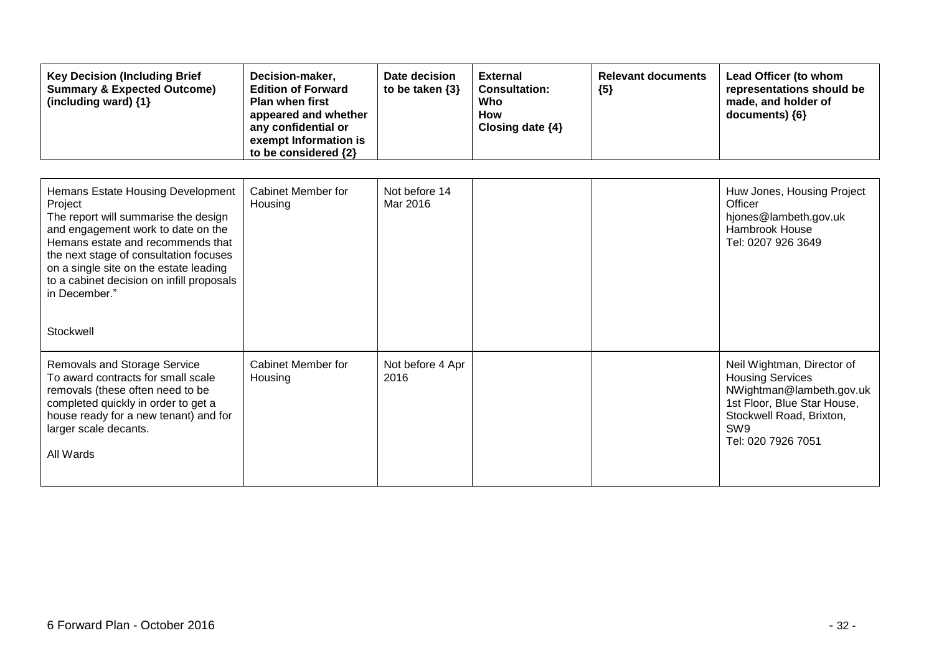| <b>Key Decision (Including Brief</b><br><b>Summary &amp; Expected Outcome)</b><br>(including ward) {1}                                                                                                                                                                                                                         | Decision-maker,<br><b>Edition of Forward</b><br><b>Plan when first</b><br>appeared and whether<br>any confidential or<br>exempt Information is<br>to be considered {2} | Date decision<br>to be taken $\{3\}$ | <b>External</b><br><b>Consultation:</b><br>Who<br><b>How</b><br>Closing date {4} | <b>Relevant documents</b><br>${5}$ | Lead Officer (to whom<br>representations should be<br>made, and holder of<br>documents) {6}                                                                                           |
|--------------------------------------------------------------------------------------------------------------------------------------------------------------------------------------------------------------------------------------------------------------------------------------------------------------------------------|------------------------------------------------------------------------------------------------------------------------------------------------------------------------|--------------------------------------|----------------------------------------------------------------------------------|------------------------------------|---------------------------------------------------------------------------------------------------------------------------------------------------------------------------------------|
| Hemans Estate Housing Development<br>Project<br>The report will summarise the design<br>and engagement work to date on the<br>Hemans estate and recommends that<br>the next stage of consultation focuses<br>on a single site on the estate leading<br>to a cabinet decision on infill proposals<br>in December."<br>Stockwell | <b>Cabinet Member for</b><br>Housing                                                                                                                                   | Not before 14<br>Mar 2016            |                                                                                  |                                    | Huw Jones, Housing Project<br>Officer<br>hjones@lambeth.gov.uk<br><b>Hambrook House</b><br>Tel: 0207 926 3649                                                                         |
| <b>Removals and Storage Service</b><br>To award contracts for small scale<br>removals (these often need to be<br>completed quickly in order to get a<br>house ready for a new tenant) and for<br>larger scale decants.<br>All Wards                                                                                            | Cabinet Member for<br>Housing                                                                                                                                          | Not before 4 Apr<br>2016             |                                                                                  |                                    | Neil Wightman, Director of<br><b>Housing Services</b><br>NWightman@lambeth.gov.uk<br>1st Floor, Blue Star House,<br>Stockwell Road, Brixton,<br>SW <sub>9</sub><br>Tel: 020 7926 7051 |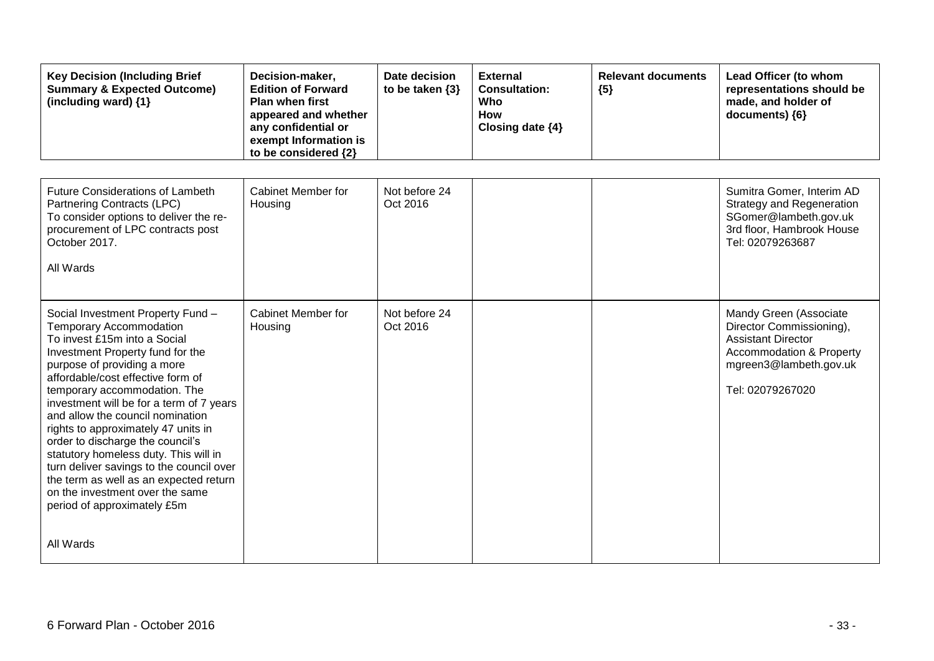| <b>Key Decision (Including Brief</b><br><b>Summary &amp; Expected Outcome)</b><br>(including ward) {1}                                                                                                                                                                                                                                                                                                                                                                                                                                                                                                  | Decision-maker,<br><b>Edition of Forward</b><br><b>Plan when first</b><br>appeared and whether<br>any confidential or<br>exempt Information is<br>to be considered {2} | Date decision<br>to be taken $\{3\}$ | <b>External</b><br><b>Consultation:</b><br>Who<br><b>How</b><br>Closing date {4} | <b>Relevant documents</b><br>${5}$ | Lead Officer (to whom<br>representations should be<br>made, and holder of<br>documents) {6}                                                                          |
|---------------------------------------------------------------------------------------------------------------------------------------------------------------------------------------------------------------------------------------------------------------------------------------------------------------------------------------------------------------------------------------------------------------------------------------------------------------------------------------------------------------------------------------------------------------------------------------------------------|------------------------------------------------------------------------------------------------------------------------------------------------------------------------|--------------------------------------|----------------------------------------------------------------------------------|------------------------------------|----------------------------------------------------------------------------------------------------------------------------------------------------------------------|
| <b>Future Considerations of Lambeth</b><br>Partnering Contracts (LPC)<br>To consider options to deliver the re-<br>procurement of LPC contracts post<br>October 2017.<br>All Wards                                                                                                                                                                                                                                                                                                                                                                                                                      | <b>Cabinet Member for</b><br>Housing                                                                                                                                   | Not before 24<br>Oct 2016            |                                                                                  |                                    | Sumitra Gomer, Interim AD<br><b>Strategy and Regeneration</b><br>SGomer@lambeth.gov.uk<br>3rd floor, Hambrook House<br>Tel: 02079263687                              |
| Social Investment Property Fund -<br><b>Temporary Accommodation</b><br>To invest £15m into a Social<br>Investment Property fund for the<br>purpose of providing a more<br>affordable/cost effective form of<br>temporary accommodation. The<br>investment will be for a term of 7 years<br>and allow the council nomination<br>rights to approximately 47 units in<br>order to discharge the council's<br>statutory homeless duty. This will in<br>turn deliver savings to the council over<br>the term as well as an expected return<br>on the investment over the same<br>period of approximately £5m | Cabinet Member for<br>Housing                                                                                                                                          | Not before 24<br>Oct 2016            |                                                                                  |                                    | Mandy Green (Associate<br>Director Commissioning),<br><b>Assistant Director</b><br><b>Accommodation &amp; Property</b><br>mgreen3@lambeth.gov.uk<br>Tel: 02079267020 |
| All Wards                                                                                                                                                                                                                                                                                                                                                                                                                                                                                                                                                                                               |                                                                                                                                                                        |                                      |                                                                                  |                                    |                                                                                                                                                                      |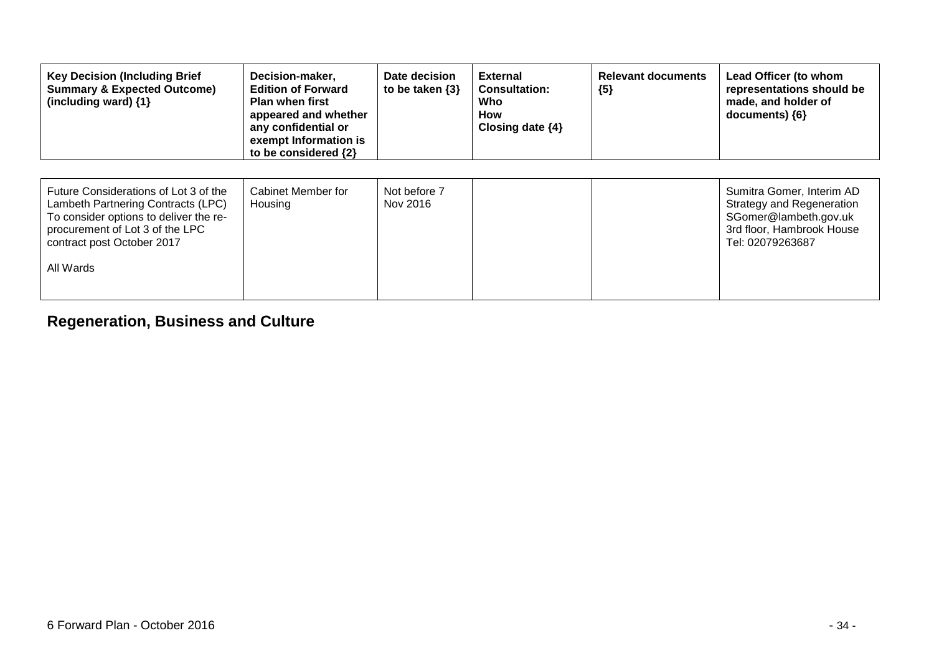| <b>Key Decision (Including Brief</b><br><b>Summary &amp; Expected Outcome)</b><br>(including ward) {1}                                                                                              | Decision-maker,<br><b>Edition of Forward</b><br><b>Plan when first</b><br>appeared and whether<br>any confidential or<br>exempt Information is<br>to be considered {2} | Date decision<br>to be taken $\{3\}$ | <b>External</b><br><b>Consultation:</b><br>Who<br>How<br>Closing date $\{4\}$ | <b>Relevant documents</b><br>${5}$ | Lead Officer (to whom<br>representations should be<br>made, and holder of<br>documents) ${6}$                                    |
|-----------------------------------------------------------------------------------------------------------------------------------------------------------------------------------------------------|------------------------------------------------------------------------------------------------------------------------------------------------------------------------|--------------------------------------|-------------------------------------------------------------------------------|------------------------------------|----------------------------------------------------------------------------------------------------------------------------------|
| Future Considerations of Lot 3 of the<br>Lambeth Partnering Contracts (LPC)<br>To consider options to deliver the re-<br>procurement of Lot 3 of the LPC<br>contract post October 2017<br>All Wards | Cabinet Member for<br>Housing                                                                                                                                          | Not before 7<br>Nov 2016             |                                                                               |                                    | Sumitra Gomer, Interim AD<br>Strategy and Regeneration<br>SGomer@lambeth.gov.uk<br>3rd floor, Hambrook House<br>Tel: 02079263687 |

## **Regeneration, Business and Culture**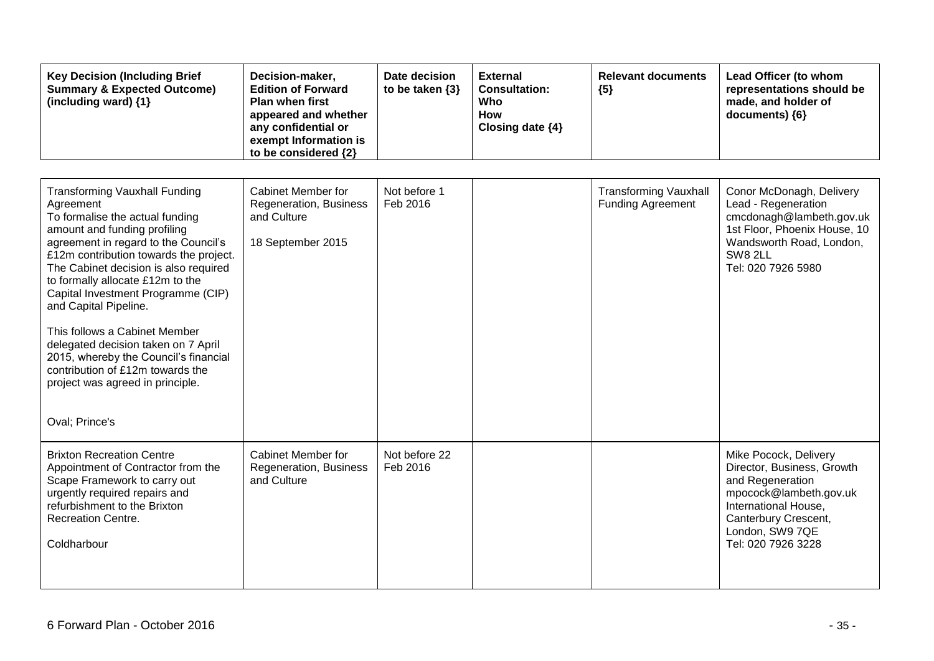| <b>Key Decision (Including Brief</b><br><b>Summary &amp; Expected Outcome)</b><br>(including ward) $\{1\}$                                                                                                                                                                                                                                                                                                                                                                                                                                                    | Decision-maker,<br><b>Edition of Forward</b><br><b>Plan when first</b><br>appeared and whether<br>any confidential or<br>exempt Information is<br>to be considered {2} | Date decision<br>to be taken $\{3\}$ | <b>External</b><br><b>Consultation:</b><br>Who<br><b>How</b><br>Closing date {4} | <b>Relevant documents</b><br>${5}$                       | Lead Officer (to whom<br>representations should be<br>made, and holder of<br>documents) {6}                                                                                                |
|---------------------------------------------------------------------------------------------------------------------------------------------------------------------------------------------------------------------------------------------------------------------------------------------------------------------------------------------------------------------------------------------------------------------------------------------------------------------------------------------------------------------------------------------------------------|------------------------------------------------------------------------------------------------------------------------------------------------------------------------|--------------------------------------|----------------------------------------------------------------------------------|----------------------------------------------------------|--------------------------------------------------------------------------------------------------------------------------------------------------------------------------------------------|
| <b>Transforming Vauxhall Funding</b><br>Agreement<br>To formalise the actual funding<br>amount and funding profiling<br>agreement in regard to the Council's<br>£12m contribution towards the project.<br>The Cabinet decision is also required<br>to formally allocate £12m to the<br>Capital Investment Programme (CIP)<br>and Capital Pipeline.<br>This follows a Cabinet Member<br>delegated decision taken on 7 April<br>2015, whereby the Council's financial<br>contribution of £12m towards the<br>project was agreed in principle.<br>Oval; Prince's | <b>Cabinet Member for</b><br>Regeneration, Business<br>and Culture<br>18 September 2015                                                                                | Not before 1<br>Feb 2016             |                                                                                  | <b>Transforming Vauxhall</b><br><b>Funding Agreement</b> | Conor McDonagh, Delivery<br>Lead - Regeneration<br>cmcdonagh@lambeth.gov.uk<br>1st Floor, Phoenix House, 10<br>Wandsworth Road, London,<br><b>SW8 2LL</b><br>Tel: 020 7926 5980            |
| <b>Brixton Recreation Centre</b><br>Appointment of Contractor from the<br>Scape Framework to carry out<br>urgently required repairs and<br>refurbishment to the Brixton<br><b>Recreation Centre.</b><br>Coldharbour                                                                                                                                                                                                                                                                                                                                           | <b>Cabinet Member for</b><br>Regeneration, Business<br>and Culture                                                                                                     | Not before 22<br>Feb 2016            |                                                                                  |                                                          | Mike Pocock, Delivery<br>Director, Business, Growth<br>and Regeneration<br>mpocock@lambeth.gov.uk<br>International House,<br>Canterbury Crescent,<br>London, SW9 7QE<br>Tel: 020 7926 3228 |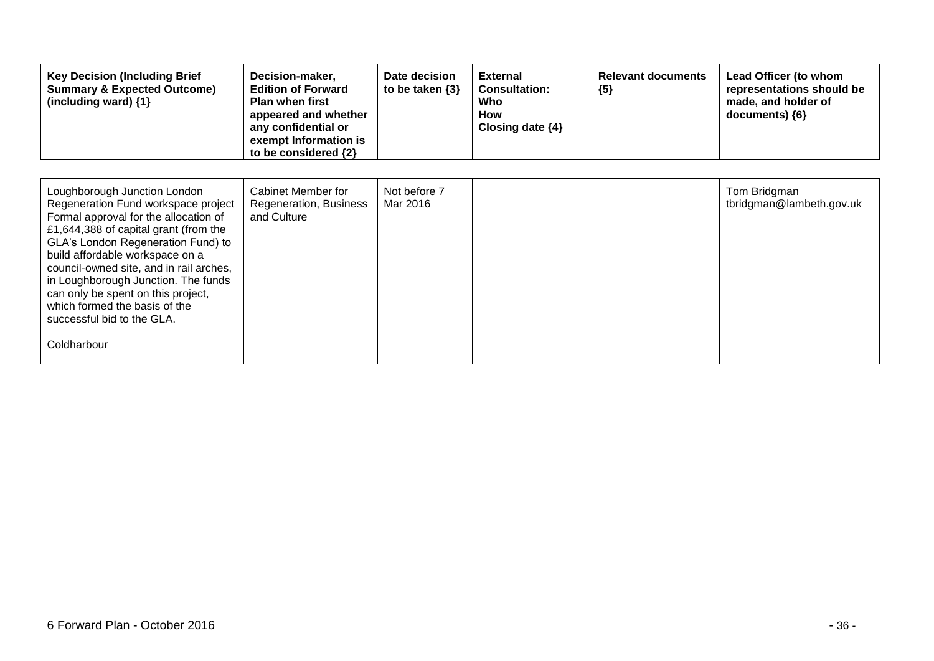| <b>Key Decision (Including Brief</b><br><b>Summary &amp; Expected Outcome)</b><br>(including ward) $\{1\}$                                                                                                                                                                                                                                                                                                                           | Decision-maker,<br><b>Edition of Forward</b><br><b>Plan when first</b><br>appeared and whether<br>any confidential or<br>exempt Information is<br>to be considered {2} | Date decision<br>to be taken $\{3\}$ | <b>External</b><br><b>Consultation:</b><br>Who<br><b>How</b><br>Closing date $\{4\}$ | <b>Relevant documents</b><br>${5}$ | Lead Officer (to whom<br>representations should be<br>made, and holder of<br>documents) ${6}$ |
|--------------------------------------------------------------------------------------------------------------------------------------------------------------------------------------------------------------------------------------------------------------------------------------------------------------------------------------------------------------------------------------------------------------------------------------|------------------------------------------------------------------------------------------------------------------------------------------------------------------------|--------------------------------------|--------------------------------------------------------------------------------------|------------------------------------|-----------------------------------------------------------------------------------------------|
| Loughborough Junction London<br>Regeneration Fund workspace project<br>Formal approval for the allocation of<br>£1,644,388 of capital grant (from the<br>GLA's London Regeneration Fund) to<br>build affordable workspace on a<br>council-owned site, and in rail arches,<br>in Loughborough Junction. The funds<br>can only be spent on this project,<br>which formed the basis of the<br>successful bid to the GLA.<br>Coldharbour | Cabinet Member for<br>Regeneration, Business<br>and Culture                                                                                                            | Not before 7<br>Mar 2016             |                                                                                      |                                    | Tom Bridgman<br>tbridgman@lambeth.gov.uk                                                      |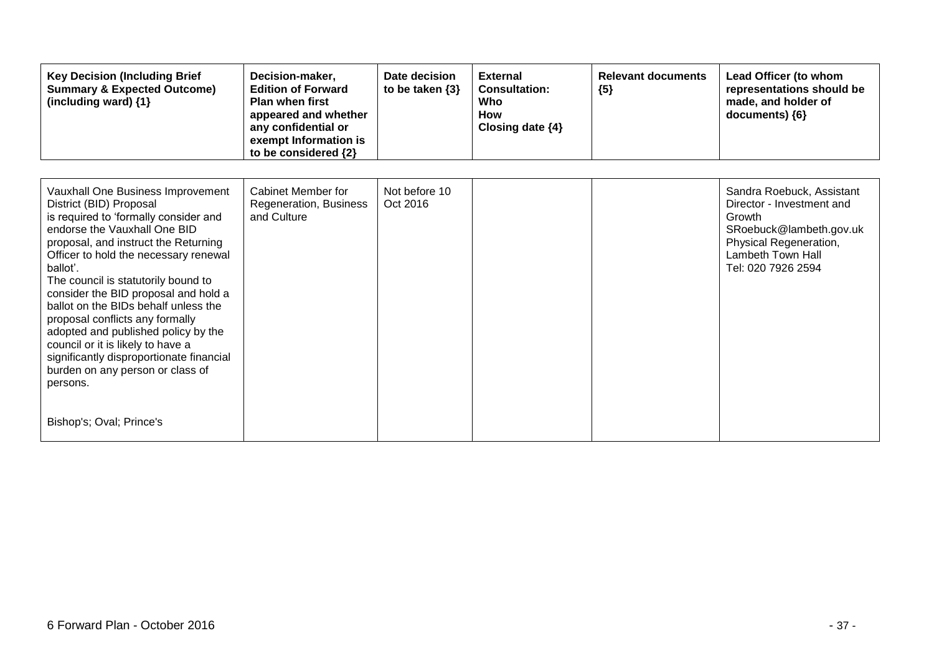| <b>Key Decision (Including Brief</b><br><b>Summary &amp; Expected Outcome)</b><br>(including ward) {1}                                                                                                                                                                                                                                                                                                                                                                                                                                                                                           | Decision-maker,<br><b>Edition of Forward</b><br><b>Plan when first</b><br>appeared and whether<br>any confidential or<br>exempt Information is<br>to be considered {2} | Date decision<br>to be taken $\{3\}$ | <b>External</b><br><b>Consultation:</b><br>Who<br><b>How</b><br>Closing date $\{4\}$ | <b>Relevant documents</b><br>${5}$ | Lead Officer (to whom<br>representations should be<br>made, and holder of<br>documents) {6}                                                                      |
|--------------------------------------------------------------------------------------------------------------------------------------------------------------------------------------------------------------------------------------------------------------------------------------------------------------------------------------------------------------------------------------------------------------------------------------------------------------------------------------------------------------------------------------------------------------------------------------------------|------------------------------------------------------------------------------------------------------------------------------------------------------------------------|--------------------------------------|--------------------------------------------------------------------------------------|------------------------------------|------------------------------------------------------------------------------------------------------------------------------------------------------------------|
| Vauxhall One Business Improvement<br>District (BID) Proposal<br>is required to 'formally consider and<br>endorse the Vauxhall One BID<br>proposal, and instruct the Returning<br>Officer to hold the necessary renewal<br>ballot'.<br>The council is statutorily bound to<br>consider the BID proposal and hold a<br>ballot on the BIDs behalf unless the<br>proposal conflicts any formally<br>adopted and published policy by the<br>council or it is likely to have a<br>significantly disproportionate financial<br>burden on any person or class of<br>persons.<br>Bishop's; Oval; Prince's | <b>Cabinet Member for</b><br>Regeneration, Business<br>and Culture                                                                                                     | Not before 10<br>Oct 2016            |                                                                                      |                                    | Sandra Roebuck, Assistant<br>Director - Investment and<br>Growth<br>SRoebuck@lambeth.gov.uk<br>Physical Regeneration,<br>Lambeth Town Hall<br>Tel: 020 7926 2594 |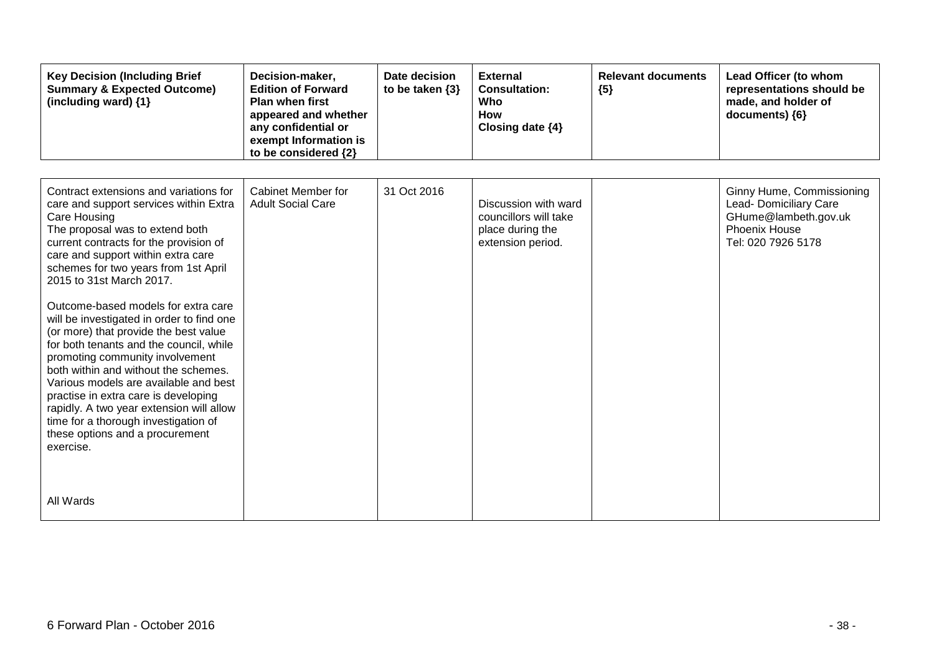| <b>Key Decision (Including Brief</b><br><b>Summary &amp; Expected Outcome)</b><br>(including ward) {1}                                                                                                                                                                                                                                                                                                                                                                                                                                                                                                                                                                                                                                                          | Decision-maker,<br><b>Edition of Forward</b><br><b>Plan when first</b><br>appeared and whether<br>any confidential or<br>exempt Information is<br>to be considered {2} | Date decision<br>to be taken $\{3\}$ | <b>External</b><br><b>Consultation:</b><br>Who<br><b>How</b><br>Closing date {4}       | <b>Relevant documents</b><br>${5}$ | Lead Officer (to whom<br>representations should be<br>made, and holder of<br>documents) {6}                        |
|-----------------------------------------------------------------------------------------------------------------------------------------------------------------------------------------------------------------------------------------------------------------------------------------------------------------------------------------------------------------------------------------------------------------------------------------------------------------------------------------------------------------------------------------------------------------------------------------------------------------------------------------------------------------------------------------------------------------------------------------------------------------|------------------------------------------------------------------------------------------------------------------------------------------------------------------------|--------------------------------------|----------------------------------------------------------------------------------------|------------------------------------|--------------------------------------------------------------------------------------------------------------------|
| Contract extensions and variations for<br>care and support services within Extra<br>Care Housing<br>The proposal was to extend both<br>current contracts for the provision of<br>care and support within extra care<br>schemes for two years from 1st April<br>2015 to 31st March 2017.<br>Outcome-based models for extra care<br>will be investigated in order to find one<br>(or more) that provide the best value<br>for both tenants and the council, while<br>promoting community involvement<br>both within and without the schemes.<br>Various models are available and best<br>practise in extra care is developing<br>rapidly. A two year extension will allow<br>time for a thorough investigation of<br>these options and a procurement<br>exercise. | Cabinet Member for<br><b>Adult Social Care</b>                                                                                                                         | 31 Oct 2016                          | Discussion with ward<br>councillors will take<br>place during the<br>extension period. |                                    | Ginny Hume, Commissioning<br>Lead- Domiciliary Care<br>GHume@lambeth.gov.uk<br>Phoenix House<br>Tel: 020 7926 5178 |
| All Wards                                                                                                                                                                                                                                                                                                                                                                                                                                                                                                                                                                                                                                                                                                                                                       |                                                                                                                                                                        |                                      |                                                                                        |                                    |                                                                                                                    |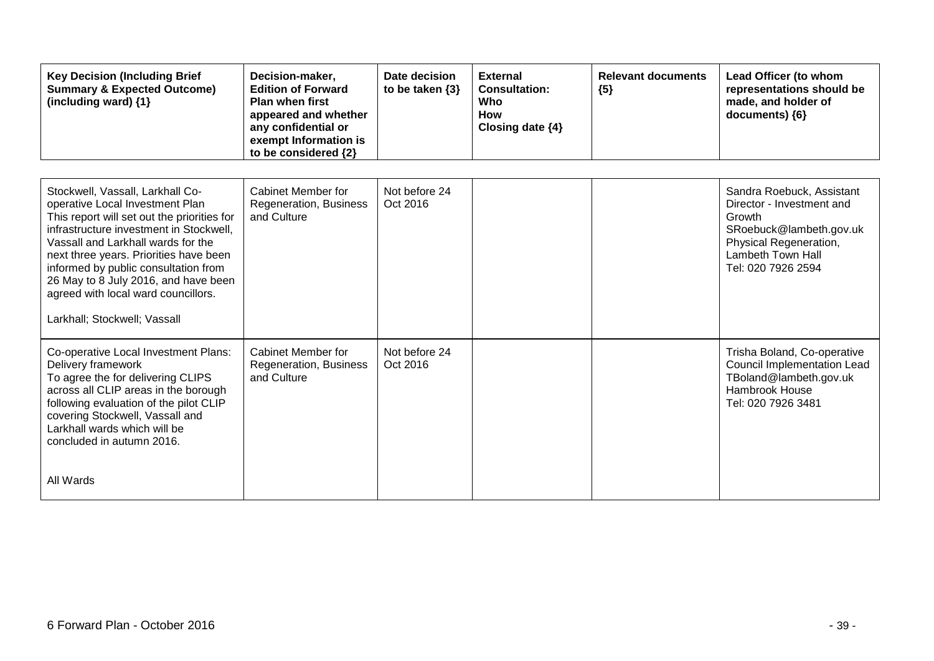| <b>Key Decision (Including Brief</b><br><b>Summary &amp; Expected Outcome)</b><br>(including ward) {1}                                                                                                                                                                                                                                                                                               | Decision-maker,<br><b>Edition of Forward</b><br><b>Plan when first</b><br>appeared and whether<br>any confidential or<br>exempt Information is<br>to be considered {2} | Date decision<br>to be taken $\{3\}$ | <b>External</b><br><b>Consultation:</b><br>Who<br><b>How</b><br>Closing date {4} | <b>Relevant documents</b><br>${5}$ | Lead Officer (to whom<br>representations should be<br>made, and holder of<br>documents) {6}                                                                      |
|------------------------------------------------------------------------------------------------------------------------------------------------------------------------------------------------------------------------------------------------------------------------------------------------------------------------------------------------------------------------------------------------------|------------------------------------------------------------------------------------------------------------------------------------------------------------------------|--------------------------------------|----------------------------------------------------------------------------------|------------------------------------|------------------------------------------------------------------------------------------------------------------------------------------------------------------|
| Stockwell, Vassall, Larkhall Co-<br>operative Local Investment Plan<br>This report will set out the priorities for<br>infrastructure investment in Stockwell,<br>Vassall and Larkhall wards for the<br>next three years. Priorities have been<br>informed by public consultation from<br>26 May to 8 July 2016, and have been<br>agreed with local ward councillors.<br>Larkhall; Stockwell; Vassall | Cabinet Member for<br>Regeneration, Business<br>and Culture                                                                                                            | Not before 24<br>Oct 2016            |                                                                                  |                                    | Sandra Roebuck, Assistant<br>Director - Investment and<br>Growth<br>SRoebuck@lambeth.gov.uk<br>Physical Regeneration,<br>Lambeth Town Hall<br>Tel: 020 7926 2594 |
| Co-operative Local Investment Plans:<br>Delivery framework<br>To agree the for delivering CLIPS<br>across all CLIP areas in the borough<br>following evaluation of the pilot CLIP<br>covering Stockwell, Vassall and<br>Larkhall wards which will be<br>concluded in autumn 2016.<br>All Wards                                                                                                       | <b>Cabinet Member for</b><br>Regeneration, Business<br>and Culture                                                                                                     | Not before 24<br>Oct 2016            |                                                                                  |                                    | Trisha Boland, Co-operative<br><b>Council Implementation Lead</b><br>TBoland@lambeth.gov.uk<br>Hambrook House<br>Tel: 020 7926 3481                              |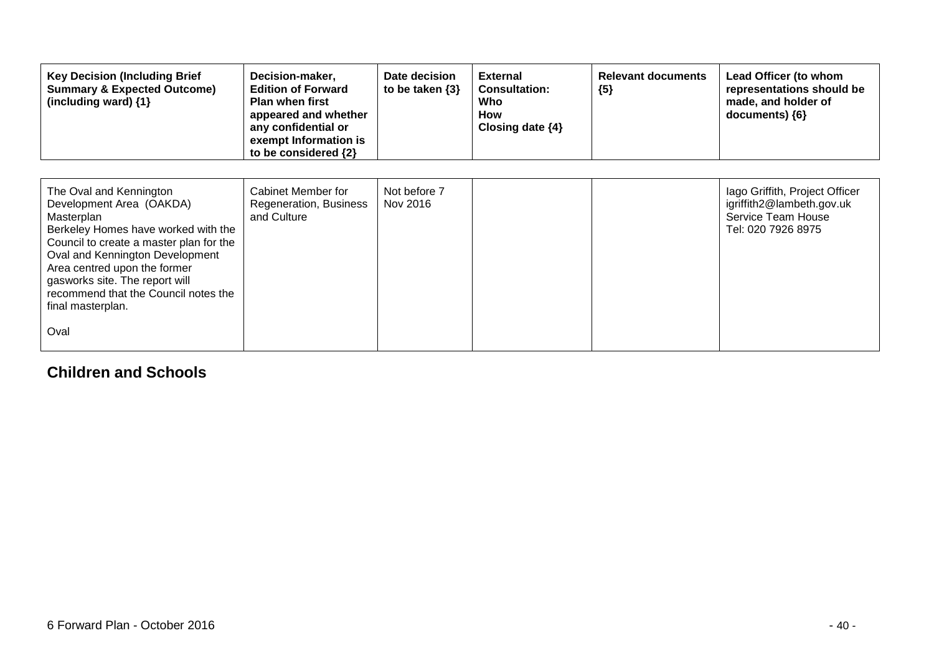| <b>Key Decision (Including Brief</b><br><b>Summary &amp; Expected Outcome)</b><br>(including ward) {1}                                                                                                                                                                                                                        | Decision-maker,<br><b>Edition of Forward</b><br><b>Plan when first</b><br>appeared and whether<br>any confidential or<br>exempt Information is<br>to be considered {2} | Date decision<br>to be taken $\{3\}$ | <b>External</b><br><b>Consultation:</b><br>Who<br>How<br>Closing date $\{4\}$ | <b>Relevant documents</b><br>${5}$ | Lead Officer (to whom<br>representations should be<br>made, and holder of<br>documents) $\{6\}$         |
|-------------------------------------------------------------------------------------------------------------------------------------------------------------------------------------------------------------------------------------------------------------------------------------------------------------------------------|------------------------------------------------------------------------------------------------------------------------------------------------------------------------|--------------------------------------|-------------------------------------------------------------------------------|------------------------------------|---------------------------------------------------------------------------------------------------------|
| The Oval and Kennington<br>Development Area (OAKDA)<br>Masterplan<br>Berkeley Homes have worked with the<br>Council to create a master plan for the<br>Oval and Kennington Development<br>Area centred upon the former<br>gasworks site. The report will<br>recommend that the Council notes the<br>final masterplan.<br>Oval | Cabinet Member for<br>Regeneration, Business<br>and Culture                                                                                                            | Not before 7<br>Nov 2016             |                                                                               |                                    | lago Griffith, Project Officer<br>igriffith2@lambeth.gov.uk<br>Service Team House<br>Tel: 020 7926 8975 |

### **Children and Schools**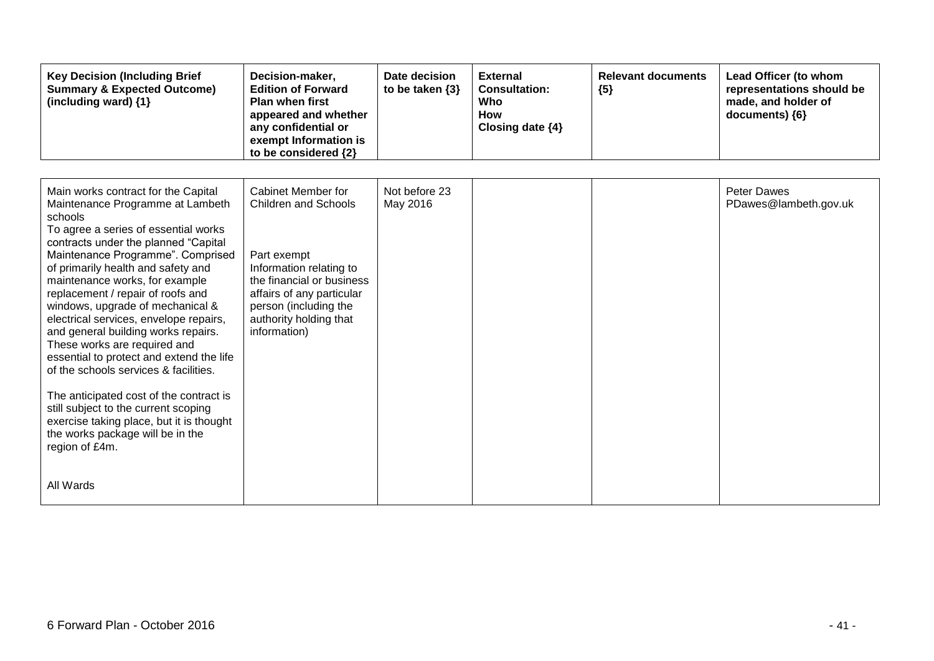| <b>Key Decision (Including Brief</b><br><b>Summary &amp; Expected Outcome)</b><br>(including ward) {1} | Decision-maker,<br><b>Edition of Forward</b><br><b>Plan when first</b><br>appeared and whether<br>any confidential or<br>exempt Information is<br>to be considered {2} | Date decision<br>to be taken $\{3\}$ | <b>External</b><br><b>Consultation:</b><br>Who<br>How<br>Closing date {4} | <b>Relevant documents</b><br>${5}$ | Lead Officer (to whom<br>representations should be<br>made, and holder of<br>documents) {6} |
|--------------------------------------------------------------------------------------------------------|------------------------------------------------------------------------------------------------------------------------------------------------------------------------|--------------------------------------|---------------------------------------------------------------------------|------------------------------------|---------------------------------------------------------------------------------------------|
|                                                                                                        |                                                                                                                                                                        |                                      |                                                                           |                                    |                                                                                             |
| Main works contract for the Capital<br>Maintenance Programme at Lambeth                                | <b>Cabinet Member for</b><br>Children and Schools                                                                                                                      | Not before 23<br>May 2016            |                                                                           |                                    | <b>Peter Dawes</b><br>PDawes@lambeth.gov.uk                                                 |
| schools<br>To agree a series of essential works                                                        |                                                                                                                                                                        |                                      |                                                                           |                                    |                                                                                             |
| contracts under the planned "Capital<br>Maintenance Programme". Comprised                              | Part exempt                                                                                                                                                            |                                      |                                                                           |                                    |                                                                                             |
| of primarily health and safety and<br>maintenance works, for example                                   | Information relating to<br>the financial or business                                                                                                                   |                                      |                                                                           |                                    |                                                                                             |
| replacement / repair of roofs and<br>windows, upgrade of mechanical &                                  | affairs of any particular<br>person (including the                                                                                                                     |                                      |                                                                           |                                    |                                                                                             |
| electrical services, envelope repairs,<br>and general building works repairs.                          | authority holding that<br>information)                                                                                                                                 |                                      |                                                                           |                                    |                                                                                             |
| These works are required and<br>essential to protect and extend the life                               |                                                                                                                                                                        |                                      |                                                                           |                                    |                                                                                             |
| of the schools services & facilities.                                                                  |                                                                                                                                                                        |                                      |                                                                           |                                    |                                                                                             |
| The anticipated cost of the contract is<br>still subject to the current scoping                        |                                                                                                                                                                        |                                      |                                                                           |                                    |                                                                                             |
| exercise taking place, but it is thought<br>the works package will be in the                           |                                                                                                                                                                        |                                      |                                                                           |                                    |                                                                                             |
| region of £4m.                                                                                         |                                                                                                                                                                        |                                      |                                                                           |                                    |                                                                                             |
| All Wards                                                                                              |                                                                                                                                                                        |                                      |                                                                           |                                    |                                                                                             |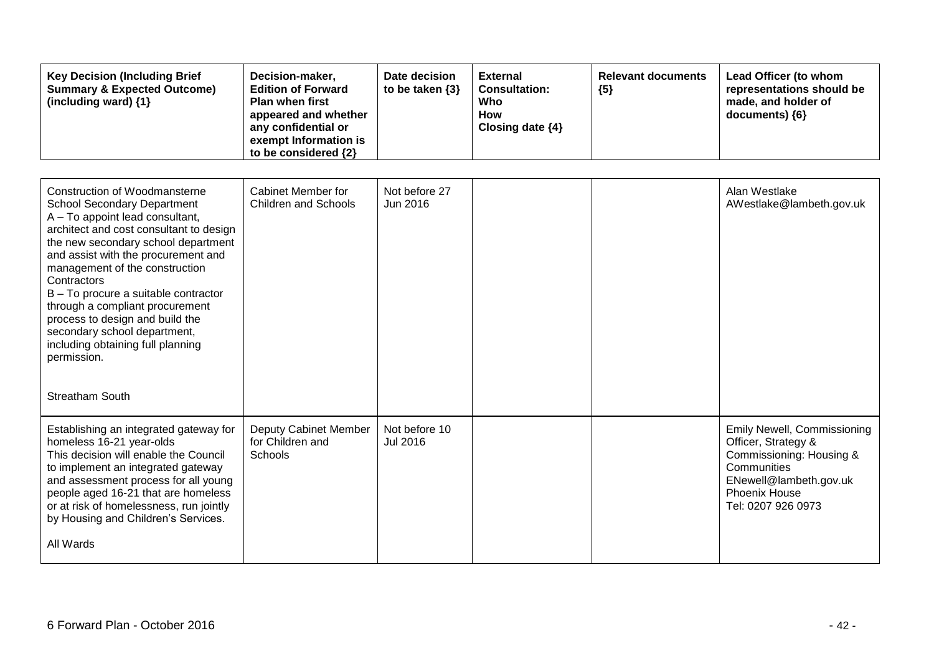| <b>Key Decision (Including Brief</b><br><b>Summary &amp; Expected Outcome)</b><br>(including ward) {1}                                                                                                                                                                                                                                                                                                                                                                             | Decision-maker,<br><b>Edition of Forward</b><br><b>Plan when first</b><br>appeared and whether<br>any confidential or<br>exempt Information is<br>to be considered {2} | Date decision<br>to be taken $\{3\}$ | <b>External</b><br><b>Consultation:</b><br>Who<br><b>How</b><br>Closing date {4} | <b>Relevant documents</b><br>${5}$ | Lead Officer (to whom<br>representations should be<br>made, and holder of<br>documents) {6}                                                                                  |
|------------------------------------------------------------------------------------------------------------------------------------------------------------------------------------------------------------------------------------------------------------------------------------------------------------------------------------------------------------------------------------------------------------------------------------------------------------------------------------|------------------------------------------------------------------------------------------------------------------------------------------------------------------------|--------------------------------------|----------------------------------------------------------------------------------|------------------------------------|------------------------------------------------------------------------------------------------------------------------------------------------------------------------------|
| Construction of Woodmansterne<br><b>School Secondary Department</b><br>A - To appoint lead consultant,<br>architect and cost consultant to design<br>the new secondary school department<br>and assist with the procurement and<br>management of the construction<br>Contractors<br>B - To procure a suitable contractor<br>through a compliant procurement<br>process to design and build the<br>secondary school department,<br>including obtaining full planning<br>permission. | <b>Cabinet Member for</b><br><b>Children and Schools</b>                                                                                                               | Not before 27<br>Jun 2016            |                                                                                  |                                    | Alan Westlake<br>AWestlake@lambeth.gov.uk                                                                                                                                    |
| <b>Streatham South</b><br>Establishing an integrated gateway for<br>homeless 16-21 year-olds<br>This decision will enable the Council<br>to implement an integrated gateway<br>and assessment process for all young<br>people aged 16-21 that are homeless<br>or at risk of homelessness, run jointly<br>by Housing and Children's Services.<br>All Wards                                                                                                                          | Deputy Cabinet Member<br>for Children and<br>Schools                                                                                                                   | Not before 10<br><b>Jul 2016</b>     |                                                                                  |                                    | <b>Emily Newell, Commissioning</b><br>Officer, Strategy &<br>Commissioning: Housing &<br>Communities<br>ENewell@lambeth.gov.uk<br><b>Phoenix House</b><br>Tel: 0207 926 0973 |